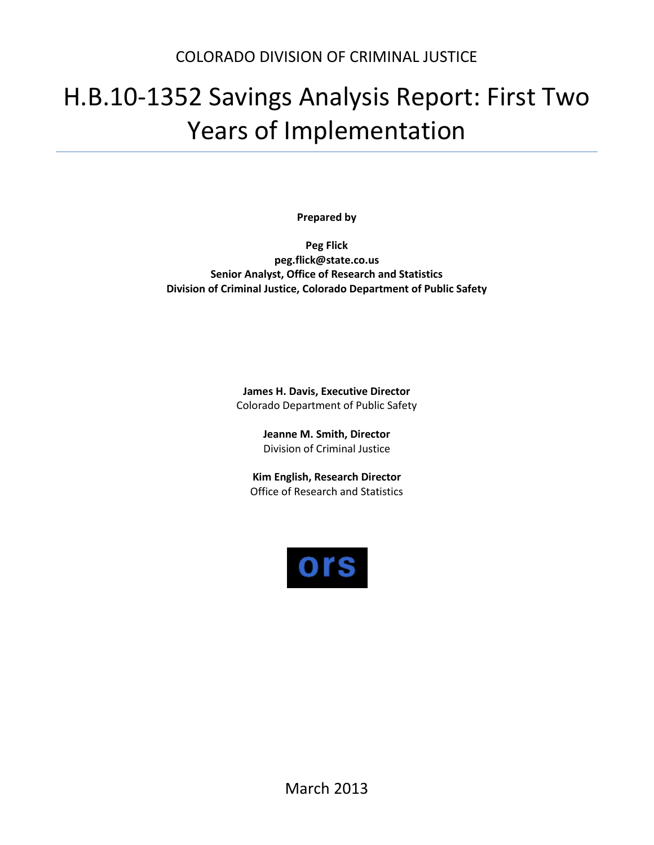# H.B.10-1352 Savings Analysis Report: First Two Years of Implementation

**Prepared by**

**Peg Flick peg.flick@state.co.us Senior Analyst, Office of Research and Statistics Division of Criminal Justice, Colorado Department of Public Safety**

> **James H. Davis, Executive Director** Colorado Department of Public Safety

> > **Jeanne M. Smith, Director** Division of Criminal Justice

**Kim English, Research Director** Office of Research and Statistics

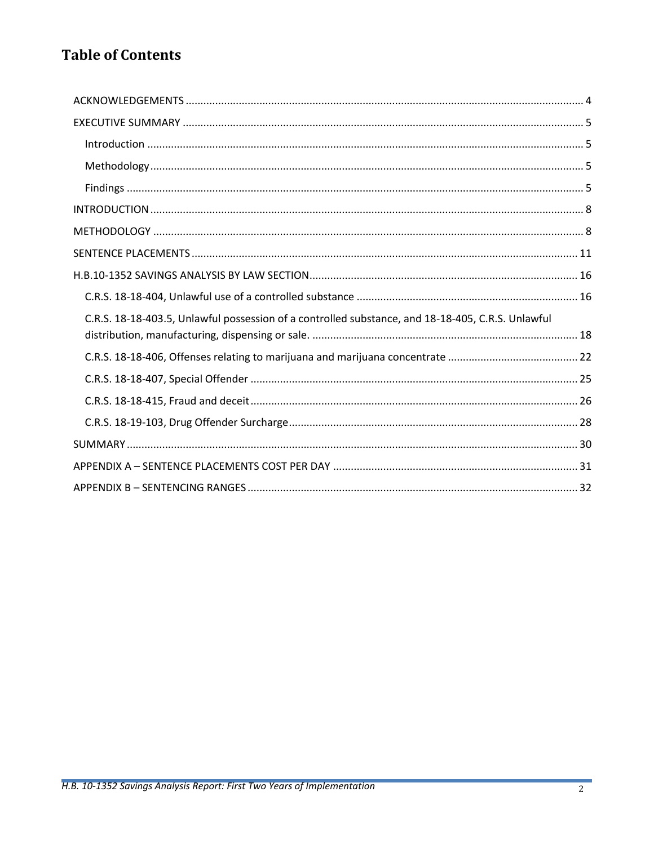# **Table of Contents**

| C.R.S. 18-18-403.5, Unlawful possession of a controlled substance, and 18-18-405, C.R.S. Unlawful |
|---------------------------------------------------------------------------------------------------|
|                                                                                                   |
|                                                                                                   |
|                                                                                                   |
|                                                                                                   |
|                                                                                                   |
|                                                                                                   |
|                                                                                                   |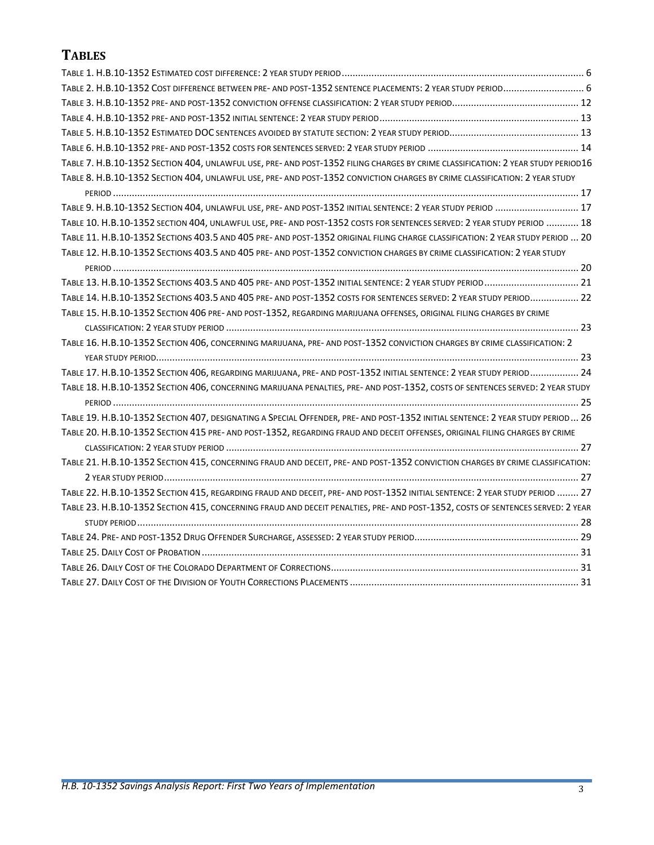# **TABLES**

| TABLE 2. H.B.10-1352 COST DIFFERENCE BETWEEN PRE- AND POST-1352 SENTENCE PLACEMENTS: 2 YEAR STUDY PERIOD 6                       |  |
|----------------------------------------------------------------------------------------------------------------------------------|--|
|                                                                                                                                  |  |
|                                                                                                                                  |  |
|                                                                                                                                  |  |
|                                                                                                                                  |  |
| TABLE 7. H.B.10-1352 SECTION 404, UNLAWFUL USE, PRE- AND POST-1352 FILING CHARGES BY CRIME CLASSIFICATION: 2 YEAR STUDY PERIOD16 |  |
| TABLE 8. H.B.10-1352 SECTION 404, UNLAWFUL USE, PRE- AND POST-1352 CONVICTION CHARGES BY CRIME CLASSIFICATION: 2 YEAR STUDY      |  |
|                                                                                                                                  |  |
| TABLE 9. H.B.10-1352 SECTION 404, UNLAWFUL USE, PRE-AND POST-1352 INITIAL SENTENCE: 2 YEAR STUDY PERIOD  17                      |  |
| TABLE 10. H.B.10-1352 SECTION 404, UNLAWFUL USE, PRE- AND POST-1352 COSTS FOR SENTENCES SERVED: 2 YEAR STUDY PERIOD  18          |  |
| TABLE 11. H.B.10-1352 SECTIONS 403.5 AND 405 PRE-AND POST-1352 ORIGINAL FILING CHARGE CLASSIFICATION: 2 YEAR STUDY PERIOD  20    |  |
| TABLE 12. H.B.10-1352 SECTIONS 403.5 AND 405 PRE- AND POST-1352 CONVICTION CHARGES BY CRIME CLASSIFICATION: 2 YEAR STUDY         |  |
|                                                                                                                                  |  |
| TABLE 13. H.B.10-1352 SECTIONS 403.5 AND 405 PRE- AND POST-1352 INITIAL SENTENCE: 2 YEAR STUDY PERIOD  21                        |  |
| TABLE 14. H.B.10-1352 SECTIONS 403.5 AND 405 PRE-AND POST-1352 COSTS FOR SENTENCES SERVED: 2 YEAR STUDY PERIOD 22                |  |
| TABLE 15. H.B.10-1352 SECTION 406 PRE- AND POST-1352, REGARDING MARIJUANA OFFENSES, ORIGINAL FILING CHARGES BY CRIME             |  |
|                                                                                                                                  |  |
| TABLE 16. H.B.10-1352 SECTION 406, CONCERNING MARIJUANA, PRE-AND POST-1352 CONVICTION CHARGES BY CRIME CLASSIFICATION: 2         |  |
|                                                                                                                                  |  |
| TABLE 17. H.B.10-1352 SECTION 406, REGARDING MARIJUANA, PRE- AND POST-1352 INITIAL SENTENCE: 2 YEAR STUDY PERIOD 24              |  |
| TABLE 18. H.B.10-1352 SECTION 406, CONCERNING MARIJUANA PENALTIES, PRE- AND POST-1352, COSTS OF SENTENCES SERVED: 2 YEAR STUDY   |  |
|                                                                                                                                  |  |
| TABLE 19. H.B.10-1352 SECTION 407, DESIGNATING A SPECIAL OFFENDER, PRE- AND POST-1352 INITIAL SENTENCE: 2 YEAR STUDY PERIOD 26   |  |
| TABLE 20. H.B.10-1352 SECTION 415 PRE- AND POST-1352, REGARDING FRAUD AND DECEIT OFFENSES, ORIGINAL FILING CHARGES BY CRIME      |  |
|                                                                                                                                  |  |
| TABLE 21. H.B.10-1352 SECTION 415, CONCERNING FRAUD AND DECEIT, PRE-AND POST-1352 CONVICTION CHARGES BY CRIME CLASSIFICATION:    |  |
|                                                                                                                                  |  |
| TABLE 22. H.B.10-1352 SECTION 415, REGARDING FRAUD AND DECEIT, PRE- AND POST-1352 INITIAL SENTENCE: 2 YEAR STUDY PERIOD  27      |  |
| TABLE 23. H.B.10-1352 SECTION 415, CONCERNING FRAUD AND DECEIT PENALTIES, PRE-AND POST-1352, COSTS OF SENTENCES SERVED: 2 YEAR   |  |
|                                                                                                                                  |  |
|                                                                                                                                  |  |
|                                                                                                                                  |  |
|                                                                                                                                  |  |
|                                                                                                                                  |  |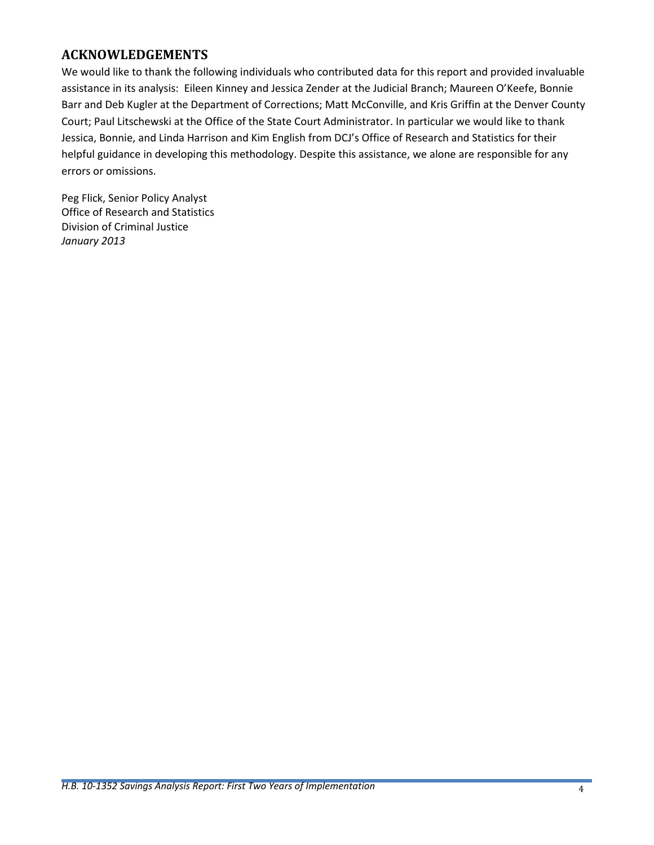## <span id="page-4-0"></span>**ACKNOWLEDGEMENTS**

We would like to thank the following individuals who contributed data for this report and provided invaluable assistance in its analysis: Eileen Kinney and Jessica Zender at the Judicial Branch; Maureen O'Keefe, Bonnie Barr and Deb Kugler at the Department of Corrections; Matt McConville, and Kris Griffin at the Denver County Court; Paul Litschewski at the Office of the State Court Administrator. In particular we would like to thank Jessica, Bonnie, and Linda Harrison and Kim English from DCJ's Office of Research and Statistics for their helpful guidance in developing this methodology. Despite this assistance, we alone are responsible for any errors or omissions.

Peg Flick, Senior Policy Analyst Office of Research and Statistics Division of Criminal Justice *January 2013*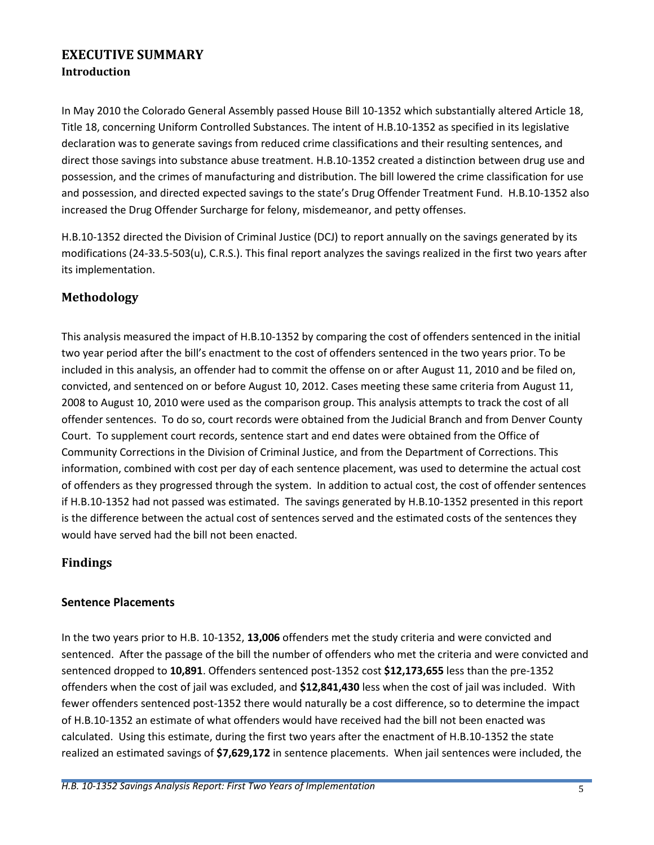## <span id="page-5-1"></span><span id="page-5-0"></span>**EXECUTIVE SUMMARY Introduction**

In May 2010 the Colorado General Assembly passed House Bill 10-1352 which substantially altered Article 18, Title 18, concerning Uniform Controlled Substances. The intent of H.B.10-1352 as specified in its legislative declaration was to generate savings from reduced crime classifications and their resulting sentences, and direct those savings into substance abuse treatment. H.B.10-1352 created a distinction between drug use and possession, and the crimes of manufacturing and distribution. The bill lowered the crime classification for use and possession, and directed expected savings to the state's Drug Offender Treatment Fund. H.B.10-1352 also increased the Drug Offender Surcharge for felony, misdemeanor, and petty offenses.

H.B.10-1352 directed the Division of Criminal Justice (DCJ) to report annually on the savings generated by its modifications (24-33.5-503(u), C.R.S.). This final report analyzes the savings realized in the first two years after its implementation.

## <span id="page-5-2"></span>**Methodology**

This analysis measured the impact of H.B.10-1352 by comparing the cost of offenders sentenced in the initial two year period after the bill's enactment to the cost of offenders sentenced in the two years prior. To be included in this analysis, an offender had to commit the offense on or after August 11, 2010 and be filed on, convicted, and sentenced on or before August 10, 2012. Cases meeting these same criteria from August 11, 2008 to August 10, 2010 were used as the comparison group. This analysis attempts to track the cost of all offender sentences. To do so, court records were obtained from the Judicial Branch and from Denver County Court. To supplement court records, sentence start and end dates were obtained from the Office of Community Corrections in the Division of Criminal Justice, and from the Department of Corrections. This information, combined with cost per day of each sentence placement, was used to determine the actual cost of offenders as they progressed through the system. In addition to actual cost, the cost of offender sentences if H.B.10-1352 had not passed was estimated. The savings generated by H.B.10-1352 presented in this report is the difference between the actual cost of sentences served and the estimated costs of the sentences they would have served had the bill not been enacted.

## <span id="page-5-3"></span>**Findings**

## **Sentence Placements**

In the two years prior to H.B. 10-1352, **13,006** offenders met the study criteria and were convicted and sentenced. After the passage of the bill the number of offenders who met the criteria and were convicted and sentenced dropped to **10,891**. Offenders sentenced post-1352 cost **\$12,173,655** less than the pre-1352 offenders when the cost of jail was excluded, and **\$12,841,430** less when the cost of jail was included.With fewer offenders sentenced post-1352 there would naturally be a cost difference, so to determine the impact of H.B.10-1352 an estimate of what offenders would have received had the bill not been enacted was calculated. Using this estimate, during the first two years after the enactment of H.B.10-1352 the state realized an estimated savings of **\$7,629,172** in sentence placements. When jail sentences were included, the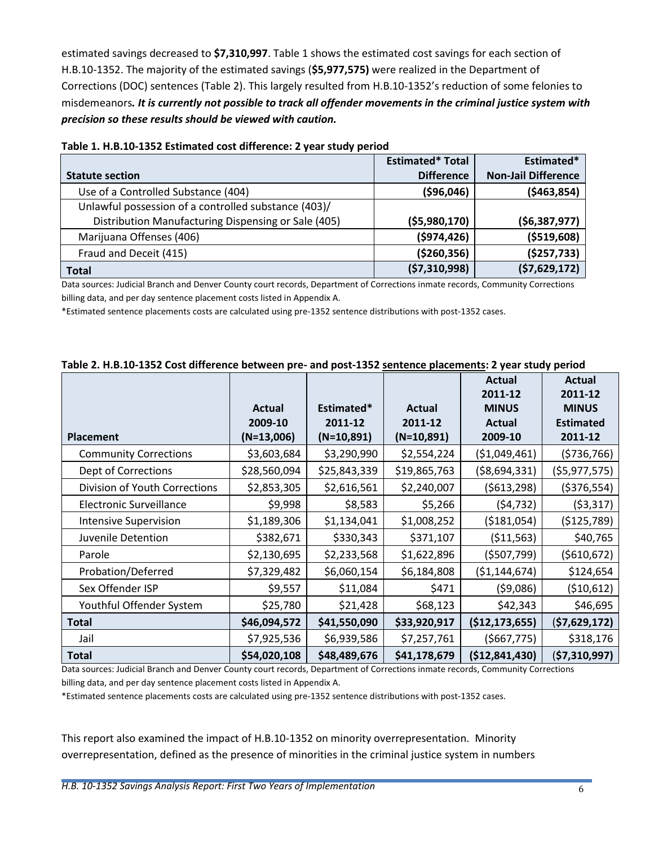estimated savings decreased to **\$7,310,997**. [Table 1](#page-6-0) shows the estimated cost savings for each section of H.B.10-1352. The majority of the estimated savings (**\$5,977,575)** were realized in the Department of Corrections (DOC) sentences [\(Table 2\)](#page-6-1). This largely resulted from H.B.10-1352's reduction of some felonies to misdemeanors*. It is currently not possible to track all offender movements in the criminal justice system with precision so these results should be viewed with caution.*

| <b>Statute section</b>                               | <b>Estimated* Total</b><br><b>Difference</b> | Estimated*<br><b>Non-Jail Difference</b> |
|------------------------------------------------------|----------------------------------------------|------------------------------------------|
| Use of a Controlled Substance (404)                  | ( \$96,046)                                  | ( \$463, 854)                            |
| Unlawful possession of a controlled substance (403)/ |                                              |                                          |
| Distribution Manufacturing Dispensing or Sale (405)  | (55,980,170)                                 | (56, 387, 977)                           |
| Marijuana Offenses (406)                             | ( \$974, 426)                                | ( \$519, 608)                            |
| Fraud and Deceit (415)                               | ( \$260, 356)                                | (\$257,733)                              |
| <b>Total</b>                                         | (57, 310, 998)                               | (57, 629, 172)                           |

#### <span id="page-6-0"></span>**Table 1. H.B.10-1352 Estimated cost difference: 2 year study period**

Data sources: Judicial Branch and Denver County court records, Department of Corrections inmate records, Community Corrections billing data, and per day sentence placement costs listed in Appendix A.

\*Estimated sentence placements costs are calculated using pre-1352 sentence distributions with post-1352 cases.

|                                |              |              |               | <b>Actual</b>  | Actual           |
|--------------------------------|--------------|--------------|---------------|----------------|------------------|
|                                |              |              |               | 2011-12        | 2011-12          |
|                                |              |              |               |                |                  |
|                                | Actual       | Estimated*   | <b>Actual</b> | <b>MINUS</b>   | <b>MINUS</b>     |
|                                | 2009-10      | 2011-12      | 2011-12       | <b>Actual</b>  | <b>Estimated</b> |
| <b>Placement</b>               | $(N=13,006)$ | $(N=10,891)$ | $(N=10,891)$  | 2009-10        | 2011-12          |
| <b>Community Corrections</b>   | \$3,603,684  | \$3,290,990  | \$2,554,224   | ( \$1,049,461) | (5736,766)       |
| Dept of Corrections            | \$28,560,094 | \$25,843,339 | \$19,865,763  | ( \$8,694,331) | (\$5,977,575)    |
| Division of Youth Corrections  | \$2,853,305  | \$2,616,561  | \$2,240,007   | (5613, 298)    | ( \$376, 554)    |
| <b>Electronic Surveillance</b> | \$9,998      | \$8,583      | \$5,266       | (54, 732)      | (53,317)         |
| <b>Intensive Supervision</b>   | \$1,189,306  | \$1,134,041  | \$1,008,252   | ( \$181,054)   | (\$125,789)      |
| Juvenile Detention             | \$382,671    | \$330,343    | \$371,107     | ( \$11,563)    | \$40,765         |
| Parole                         | \$2,130,695  | \$2,233,568  | \$1,622,896   | (5507, 799)    | ( \$610, 672)    |
| Probation/Deferred             | \$7,329,482  | \$6,060,154  | \$6,184,808   | ( \$1,144,674) | \$124,654        |
| Sex Offender ISP               | \$9,557      | \$11,084     | \$471         | (\$9,086)      | (510, 612)       |
| Youthful Offender System       | \$25,780     | \$21,428     | \$68,123      | \$42,343       | \$46,695         |
| <b>Total</b>                   | \$46,094,572 | \$41,550,090 | \$33,920,917  | (\$12,173,655) | (\$7,629,172)    |
| Jail                           | \$7,925,536  | \$6,939,586  | \$7,257,761   | ( \$667, 775)  | \$318,176        |
| <b>Total</b>                   | \$54,020,108 | \$48,489,676 | \$41,178,679  | (\$12,841,430) | (\$7,310,997)    |

#### <span id="page-6-1"></span>**Table 2. H.B.10-1352 Cost difference between pre- and post-1352 sentence placements: 2 year study period**

Data sources: Judicial Branch and Denver County court records, Department of Corrections inmate records, Community Corrections billing data, and per day sentence placement costs listed in Appendix A.

\*Estimated sentence placements costs are calculated using pre-1352 sentence distributions with post-1352 cases.

This report also examined the impact of H.B.10-1352 on minority overrepresentation. Minority overrepresentation, defined as the presence of minorities in the criminal justice system in numbers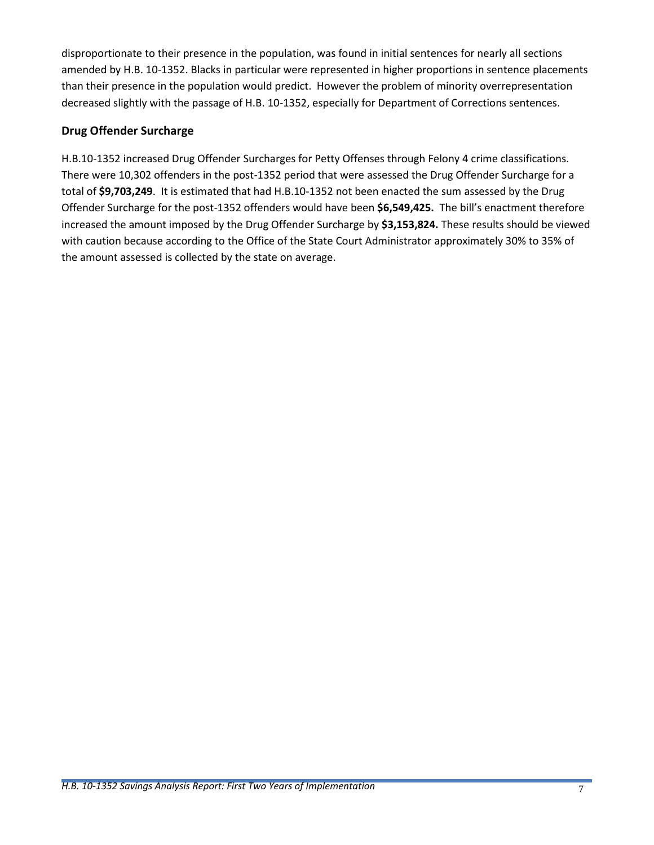disproportionate to their presence in the population, was found in initial sentences for nearly all sections amended by H.B. 10-1352. Blacks in particular were represented in higher proportions in sentence placements than their presence in the population would predict. However the problem of minority overrepresentation decreased slightly with the passage of H.B. 10-1352, especially for Department of Corrections sentences.

### **Drug Offender Surcharge**

H.B.10-1352 increased Drug Offender Surcharges for Petty Offenses through Felony 4 crime classifications. There were 10,302 offenders in the post-1352 period that were assessed the Drug Offender Surcharge for a total of **\$9,703,249**. It is estimated that had H.B.10-1352 not been enacted the sum assessed by the Drug Offender Surcharge for the post-1352 offenders would have been **\$6,549,425.** The bill's enactment therefore increased the amount imposed by the Drug Offender Surcharge by **\$3,153,824.** These results should be viewed with caution because according to the Office of the State Court Administrator approximately 30% to 35% of the amount assessed is collected by the state on average.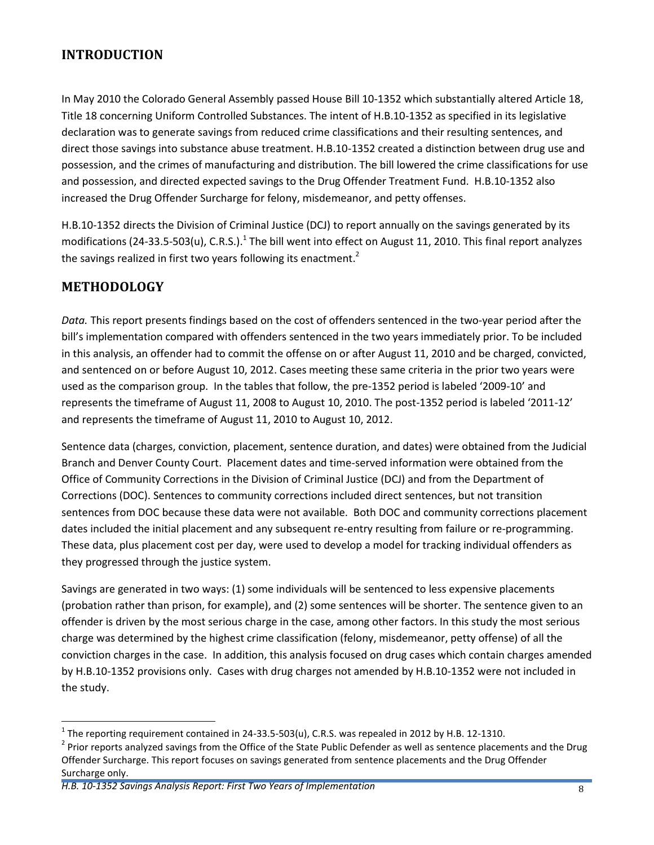## <span id="page-8-0"></span>**INTRODUCTION**

In May 2010 the Colorado General Assembly passed House Bill 10-1352 which substantially altered Article 18, Title 18 concerning Uniform Controlled Substances. The intent of H.B.10-1352 as specified in its legislative declaration was to generate savings from reduced crime classifications and their resulting sentences, and direct those savings into substance abuse treatment. H.B.10-1352 created a distinction between drug use and possession, and the crimes of manufacturing and distribution. The bill lowered the crime classifications for use and possession, and directed expected savings to the Drug Offender Treatment Fund. H.B.10-1352 also increased the Drug Offender Surcharge for felony, misdemeanor, and petty offenses.

H.B.10-1352 directs the Division of Criminal Justice (DCJ) to report annually on the savings generated by its modifications (24-33.5-503(u), C.R.S.).<sup>1</sup> The bill went into effect on August 11, 2010. This final report analyzes the savings realized in first two years following its enactment.<sup>2</sup>

## <span id="page-8-1"></span>**METHODOLOGY**

 $\overline{a}$ 

*Data.* This report presents findings based on the cost of offenders sentenced in the two-year period after the bill's implementation compared with offenders sentenced in the two years immediately prior. To be included in this analysis, an offender had to commit the offense on or after August 11, 2010 and be charged, convicted, and sentenced on or before August 10, 2012. Cases meeting these same criteria in the prior two years were used as the comparison group. In the tables that follow, the pre-1352 period is labeled '2009-10' and represents the timeframe of August 11, 2008 to August 10, 2010. The post-1352 period is labeled '2011-12' and represents the timeframe of August 11, 2010 to August 10, 2012.

Sentence data (charges, conviction, placement, sentence duration, and dates) were obtained from the Judicial Branch and Denver County Court. Placement dates and time-served information were obtained from the Office of Community Corrections in the Division of Criminal Justice (DCJ) and from the Department of Corrections (DOC). Sentences to community corrections included direct sentences, but not transition sentences from DOC because these data were not available. Both DOC and community corrections placement dates included the initial placement and any subsequent re-entry resulting from failure or re-programming. These data, plus placement cost per day, were used to develop a model for tracking individual offenders as they progressed through the justice system.

Savings are generated in two ways: (1) some individuals will be sentenced to less expensive placements (probation rather than prison, for example), and (2) some sentences will be shorter. The sentence given to an offender is driven by the most serious charge in the case, among other factors. In this study the most serious charge was determined by the highest crime classification (felony, misdemeanor, petty offense) of all the conviction charges in the case. In addition, this analysis focused on drug cases which contain charges amended by H.B.10-1352 provisions only. Cases with drug charges not amended by H.B.10-1352 were not included in the study.

<sup>&</sup>lt;sup>1</sup> The reporting requirement contained in 24-33.5-503(u), C.R.S. was repealed in 2012 by H.B. 12-1310.

<sup>&</sup>lt;sup>2</sup> Prior reports analyzed savings from the Office of the State Public Defender as well as sentence placements and the Drug Offender Surcharge. This report focuses on savings generated from sentence placements and the Drug Offender Surcharge only.

*H.B. 10-1352 Savings Analysis Report: First Two Years of Implementation* 8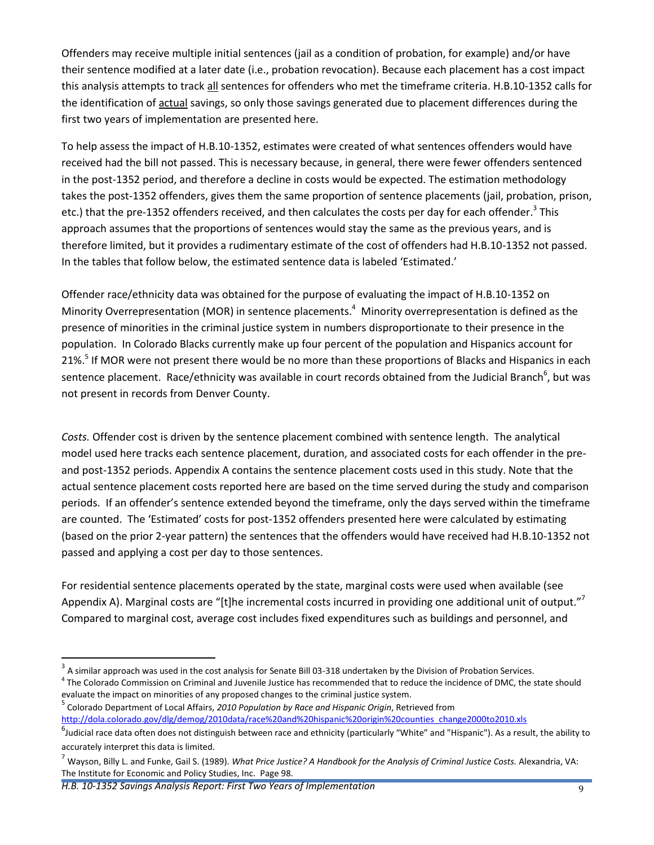Offenders may receive multiple initial sentences (jail as a condition of probation, for example) and/or have their sentence modified at a later date (i.e., probation revocation). Because each placement has a cost impact this analysis attempts to track all sentences for offenders who met the timeframe criteria. H.B.10-1352 calls for the identification of actual savings, so only those savings generated due to placement differences during the first two years of implementation are presented here.

To help assess the impact of H.B.10-1352, estimates were created of what sentences offenders would have received had the bill not passed. This is necessary because, in general, there were fewer offenders sentenced in the post-1352 period, and therefore a decline in costs would be expected. The estimation methodology takes the post-1352 offenders, gives them the same proportion of sentence placements (jail, probation, prison, etc.) that the pre-1352 offenders received, and then calculates the costs per day for each offender.<sup>3</sup> This approach assumes that the proportions of sentences would stay the same as the previous years, and is therefore limited, but it provides a rudimentary estimate of the cost of offenders had H.B.10-1352 not passed. In the tables that follow below, the estimated sentence data is labeled 'Estimated.'

Offender race/ethnicity data was obtained for the purpose of evaluating the impact of H.B.10-1352 on Minority Overrepresentation (MOR) in sentence placements.<sup>4</sup> Minority overrepresentation is defined as the presence of minorities in the criminal justice system in numbers disproportionate to their presence in the population. In Colorado Blacks currently make up four percent of the population and Hispanics account for 21%.<sup>5</sup> If MOR were not present there would be no more than these proportions of Blacks and Hispanics in each sentence placement. Race/ethnicity was available in court records obtained from the Judicial Branch<sup>6</sup>, but was not present in records from Denver County.

*Costs.* Offender cost is driven by the sentence placement combined with sentence length. The analytical model used here tracks each sentence placement, duration, and associated costs for each offender in the preand post-1352 periods. Appendix A contains the sentence placement costs used in this study. Note that the actual sentence placement costs reported here are based on the time served during the study and comparison periods. If an offender's sentence extended beyond the timeframe, only the days served within the timeframe are counted. The 'Estimated' costs for post-1352 offenders presented here were calculated by estimating (based on the prior 2-year pattern) the sentences that the offenders would have received had H.B.10-1352 not passed and applying a cost per day to those sentences.

For residential sentence placements operated by the state, marginal costs were used when available (see Appendix A). Marginal costs are "[t]he incremental costs incurred in providing one additional unit of output."<sup>7</sup> Compared to marginal cost, average cost includes fixed expenditures such as buildings and personnel, and

 3 A similar approach was used in the cost analysis for Senate Bill 03-318 undertaken by the Division of Probation Services.

<sup>&</sup>lt;sup>4</sup> The Colorado Commission on Criminal and Juvenile Justice has recommended that to reduce the incidence of DMC, the state should evaluate the impact on minorities of any proposed changes to the criminal justice system.

<sup>5</sup> Colorado Department of Local Affairs, *2010 Population by Race and Hispanic Origin*, Retrieved from

[http://dola.colorado.gov/dlg/demog/2010data/race%20and%20hispanic%20origin%20counties\\_change2000to2010.xls](http://dola.colorado.gov/dlg/demog/2010data/race%20and%20hispanic%20origin%20counties_change2000to2010.xls)

<sup>&</sup>lt;sup>6</sup>Judicial race data often does not distinguish between race and ethnicity (particularly "White" and "Hispanic"). As a result, the ability to accurately interpret this data is limited.

<sup>7</sup> Wayson, Billy L. and Funke, Gail S. (1989). *What Price Justice? A Handbook for the Analysis of Criminal Justice Costs.* Alexandria, VA: The Institute for Economic and Policy Studies, Inc. Page 98.

*H.B. 10-1352 Savings Analysis Report: First Two Years of Implementation* 9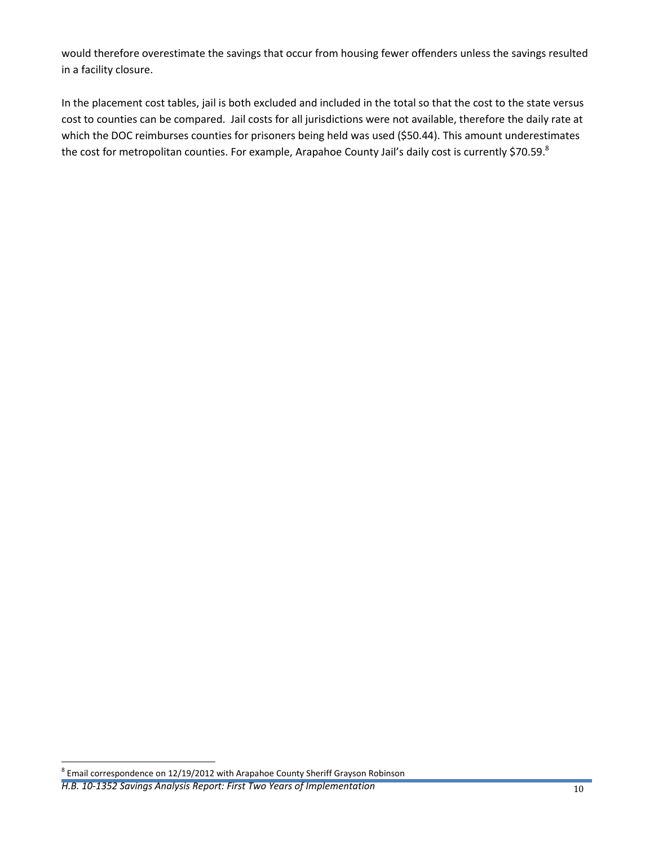would therefore overestimate the savings that occur from housing fewer offenders unless the savings resulted in a facility closure.

In the placement cost tables, jail is both excluded and included in the total so that the cost to the state versus cost to counties can be compared. Jail costs for all jurisdictions were not available, therefore the daily rate at which the DOC reimburses counties for prisoners being held was used (\$50.44). This amount underestimates the cost for metropolitan counties. For example, Arapahoe County Jail's daily cost is currently \$70.59. $^{8}$ 

#### *H.B. 10-1352 Savings Analysis Report: First Two Years of Implementation* 10 10

 8 Email correspondence on 12/19/2012 with Arapahoe County Sheriff Grayson Robinson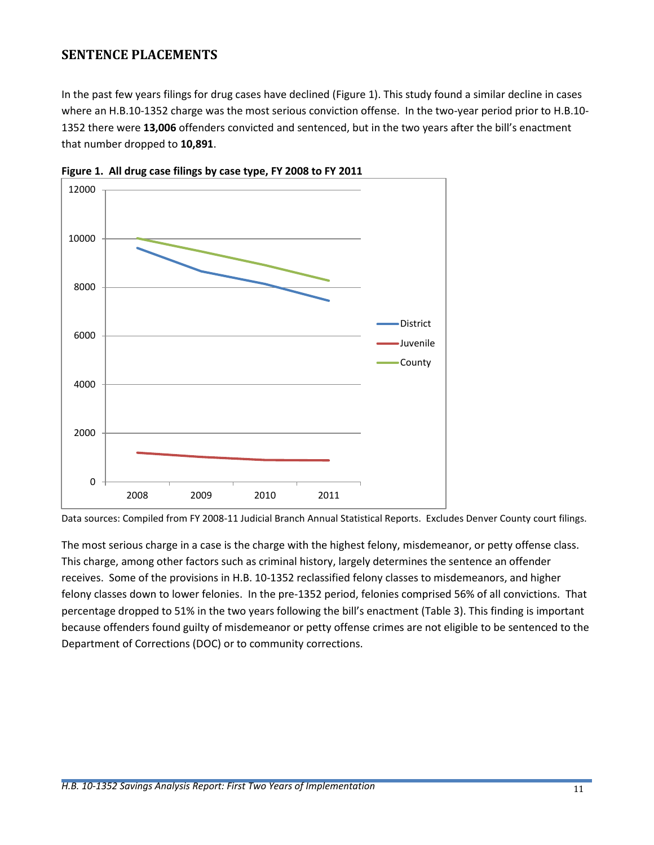## <span id="page-11-0"></span>**SENTENCE PLACEMENTS**

In the past few years filings for drug cases have declined [\(Figure 1\)](#page-11-1). This study found a similar decline in cases where an H.B.10-1352 charge was the most serious conviction offense. In the two-year period prior to H.B.10- 1352 there were **13,006** offenders convicted and sentenced, but in the two years after the bill's enactment that number dropped to **10,891**.



<span id="page-11-1"></span>**Figure 1. All drug case filings by case type, FY 2008 to FY 2011**

Data sources: Compiled from FY 2008-11 Judicial Branch Annual Statistical Reports. Excludes Denver County court filings.

The most serious charge in a case is the charge with the highest felony, misdemeanor, or petty offense class. This charge, among other factors such as criminal history, largely determines the sentence an offender receives. Some of the provisions in H.B. 10-1352 reclassified felony classes to misdemeanors, and higher felony classes down to lower felonies. In the pre-1352 period, felonies comprised 56% of all convictions. That percentage dropped to 51% in the two years following the bill's enactment (Table 3). This finding is important because offenders found guilty of misdemeanor or petty offense crimes are not eligible to be sentenced to the Department of Corrections (DOC) or to community corrections.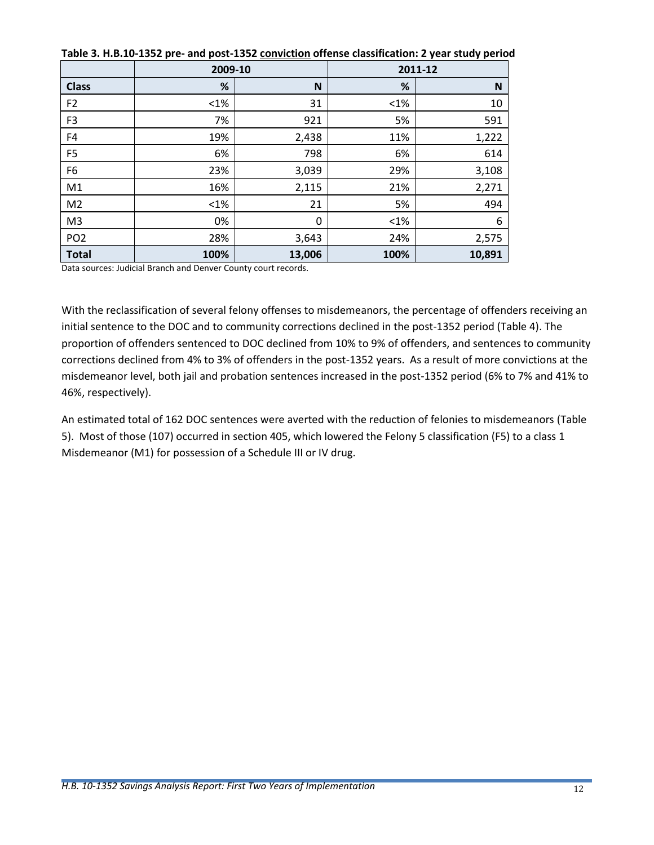|                 | 2009-10 |        |         | 2011-12 |
|-----------------|---------|--------|---------|---------|
| <b>Class</b>    | %       | N      | %       | N       |
| F <sub>2</sub>  | $< 1\%$ | 31     | $< 1\%$ | 10      |
| F <sub>3</sub>  | 7%      | 921    | 5%      | 591     |
| F4              | 19%     | 2,438  | 11%     | 1,222   |
| F <sub>5</sub>  | 6%      | 798    | 6%      | 614     |
| F <sub>6</sub>  | 23%     | 3,039  | 29%     | 3,108   |
| M1              | 16%     | 2,115  | 21%     | 2,271   |
| M <sub>2</sub>  | $< 1\%$ | 21     | 5%      | 494     |
| M <sub>3</sub>  | 0%      | 0      | $<1\%$  | 6       |
| PO <sub>2</sub> | 28%     | 3,643  | 24%     | 2,575   |
| <b>Total</b>    | 100%    | 13,006 | 100%    | 10,891  |

<span id="page-12-0"></span>**Table 3. H.B.10-1352 pre- and post-1352 conviction offense classification: 2 year study period**

Data sources: Judicial Branch and Denver County court records.

With the reclassification of several felony offenses to misdemeanors, the percentage of offenders receiving an initial sentence to the DOC and to community corrections declined in the post-1352 period (Table 4). The proportion of offenders sentenced to DOC declined from 10% to 9% of offenders, and sentences to community corrections declined from 4% to 3% of offenders in the post-1352 years. As a result of more convictions at the misdemeanor level, both jail and probation sentences increased in the post-1352 period (6% to 7% and 41% to 46%, respectively).

An estimated total of 162 DOC sentences were averted with the reduction of felonies to misdemeanors [\(Table](#page-13-1)  [5\)](#page-13-1). Most of those (107) occurred in section 405, which lowered the Felony 5 classification (F5) to a class 1 Misdemeanor (M1) for possession of a Schedule III or IV drug.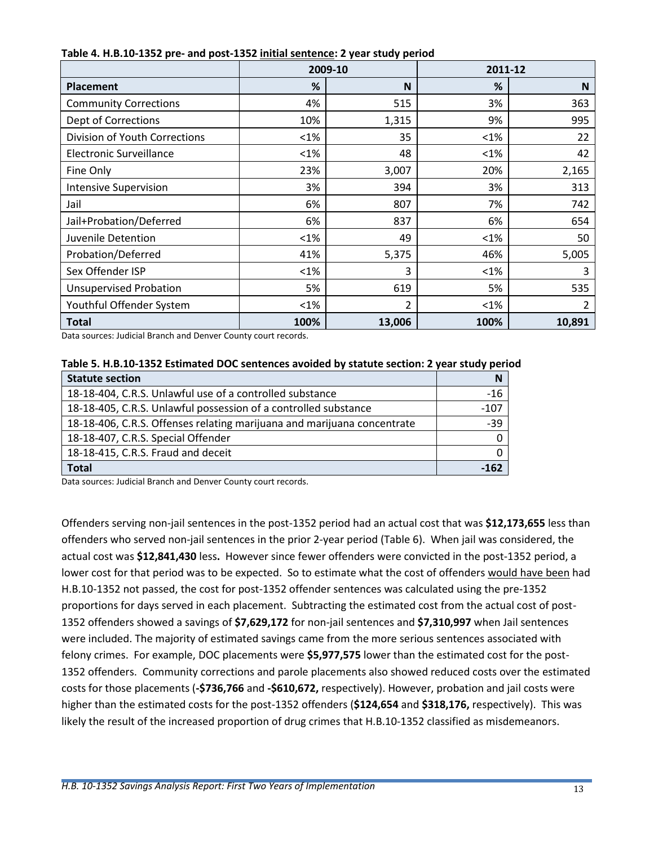|                                | 2009-10 |                | 2011-12 |        |
|--------------------------------|---------|----------------|---------|--------|
| <b>Placement</b>               | %       | N              | %       | N      |
| <b>Community Corrections</b>   | 4%      | 515            | 3%      | 363    |
| Dept of Corrections            | 10%     | 1,315          | 9%      | 995    |
| Division of Youth Corrections  | $< 1\%$ | 35             | $< 1\%$ | 22     |
| <b>Electronic Surveillance</b> | $< 1\%$ | 48             | $< 1\%$ | 42     |
| Fine Only                      | 23%     | 3,007          | 20%     | 2,165  |
| <b>Intensive Supervision</b>   | 3%      | 394            | 3%      | 313    |
| Jail                           | 6%      | 807            | 7%      | 742    |
| Jail+Probation/Deferred        | 6%      | 837            | 6%      | 654    |
| Juvenile Detention             | $< 1\%$ | 49             | $< 1\%$ | 50     |
| Probation/Deferred             | 41%     | 5,375          | 46%     | 5,005  |
| Sex Offender ISP               | <1%     | 3              | $< 1\%$ | 3      |
| <b>Unsupervised Probation</b>  | 5%      | 619            | 5%      | 535    |
| Youthful Offender System       | $< 1\%$ | $\overline{2}$ | $< 1\%$ | 2      |
| <b>Total</b>                   | 100%    | 13,006         | 100%    | 10,891 |

<span id="page-13-0"></span>**Table 4. H.B.10-1352 pre- and post-1352 initial sentence: 2 year study period**

Data sources: Judicial Branch and Denver County court records.

<span id="page-13-1"></span>

| Table 5. H.B.10-1352 Estimated DOC sentences avoided by statute section: 2 year study period |  |
|----------------------------------------------------------------------------------------------|--|
|----------------------------------------------------------------------------------------------|--|

| <b>Statute section</b>                                                  |        |
|-------------------------------------------------------------------------|--------|
| 18-18-404, C.R.S. Unlawful use of a controlled substance                | $-16$  |
| 18-18-405, C.R.S. Unlawful possession of a controlled substance         | $-107$ |
| 18-18-406, C.R.S. Offenses relating marijuana and marijuana concentrate | $-39$  |
| 18-18-407, C.R.S. Special Offender                                      |        |
| 18-18-415, C.R.S. Fraud and deceit                                      |        |
| <b>Total</b>                                                            | -162   |

Data sources: Judicial Branch and Denver County court records.

Offenders serving non-jail sentences in the post-1352 period had an actual cost that was **\$12,173,655** less than offenders who served non-jail sentences in the prior 2-year period [\(Table 6\)](#page-14-0). When jail was considered, the actual cost was **\$12,841,430** less**.** However since fewer offenders were convicted in the post-1352 period, a lower cost for that period was to be expected. So to estimate what the cost of offenders would have been had H.B.10-1352 not passed, the cost for post-1352 offender sentences was calculated using the pre-1352 proportions for days served in each placement. Subtracting the estimated cost from the actual cost of post-1352 offenders showed a savings of **\$7,629,172** for non-jail sentences and **\$7,310,997** when Jail sentences were included. The majority of estimated savings came from the more serious sentences associated with felony crimes. For example, DOC placements were **\$5,977,575** lower than the estimated cost for the post-1352 offenders. Community corrections and parole placements also showed reduced costs over the estimated costs for those placements (**-\$736,766** and **-\$610,672,** respectively). However, probation and jail costs were higher than the estimated costs for the post-1352 offenders (**\$124,654** and **\$318,176,** respectively). This was likely the result of the increased proportion of drug crimes that H.B.10-1352 classified as misdemeanors.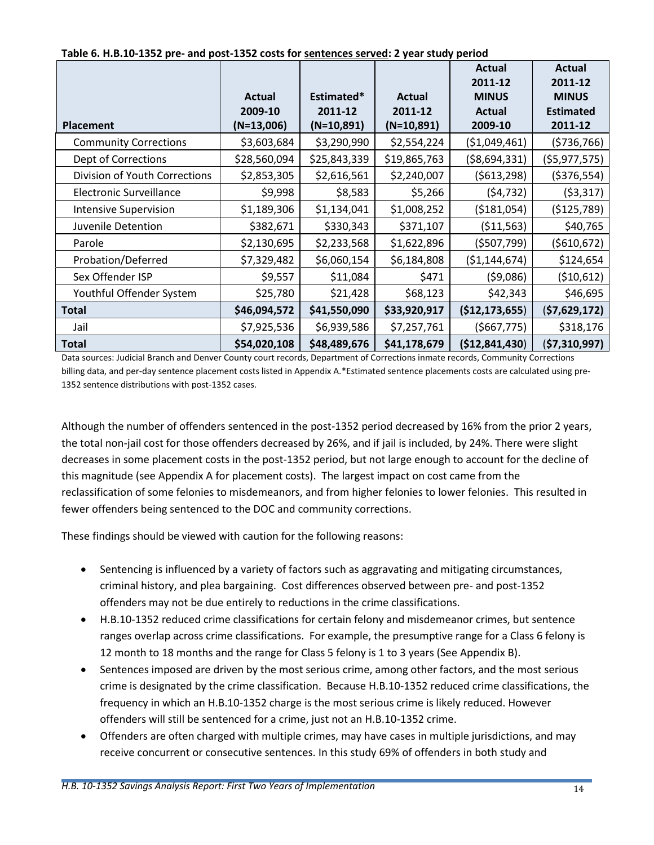|                                |              |              |               | Actual         | <b>Actual</b>    |
|--------------------------------|--------------|--------------|---------------|----------------|------------------|
|                                |              |              |               | 2011-12        | 2011-12          |
|                                | Actual       | Estimated*   | <b>Actual</b> | <b>MINUS</b>   | <b>MINUS</b>     |
|                                | 2009-10      | 2011-12      | 2011-12       | <b>Actual</b>  | <b>Estimated</b> |
| <b>Placement</b>               | $(N=13,006)$ | $(N=10,891)$ | $(N=10,891)$  | 2009-10        | 2011-12          |
| <b>Community Corrections</b>   | \$3,603,684  | \$3,290,990  | \$2,554,224   | ( \$1,049,461) | (5736,766)       |
| Dept of Corrections            | \$28,560,094 | \$25,843,339 | \$19,865,763  | ( \$8,694,331) | (\$5,977,575)    |
| Division of Youth Corrections  | \$2,853,305  | \$2,616,561  | \$2,240,007   | (5613, 298)    | ( \$376, 554)    |
| <b>Electronic Surveillance</b> | \$9,998      | \$8,583      | \$5,266       | (54, 732)      | ( \$3,317)       |
| <b>Intensive Supervision</b>   | \$1,189,306  | \$1,134,041  | \$1,008,252   | (\$181,054)    | (\$125,789)      |
| Juvenile Detention             | \$382,671    | \$330,343    | \$371,107     | ( \$11,563)    | \$40,765         |
| Parole                         | \$2,130,695  | \$2,233,568  | \$1,622,896   | ( \$507,799)   | ( \$610, 672)    |
| Probation/Deferred             | \$7,329,482  | \$6,060,154  | \$6,184,808   | (51, 144, 674) | \$124,654        |
| Sex Offender ISP               | \$9,557      | \$11,084     | \$471         | (59,086)       | ( \$10,612)      |
| Youthful Offender System       | \$25,780     | \$21,428     | \$68,123      | \$42,343       | \$46,695         |
| <b>Total</b>                   | \$46,094,572 | \$41,550,090 | \$33,920,917  | (\$12,173,655) | (57, 629, 172)   |
| Jail                           | \$7,925,536  | \$6,939,586  | \$7,257,761   | (5667, 775)    | \$318,176        |
| <b>Total</b>                   | \$54,020,108 | \$48,489,676 | \$41,178,679  | (\$12,841,430) | (\$7,310,997)    |

<span id="page-14-0"></span>**Table 6. H.B.10-1352 pre- and post-1352 costs for sentences served: 2 year study period**

Data sources: Judicial Branch and Denver County court records, Department of Corrections inmate records, Community Corrections billing data, and per-day sentence placement costs listed in Appendix A.\*Estimated sentence placements costs are calculated using pre-1352 sentence distributions with post-1352 cases.

Although the number of offenders sentenced in the post-1352 period decreased by 16% from the prior 2 years, the total non-jail cost for those offenders decreased by 26%, and if jail is included, by 24%. There were slight decreases in some placement costs in the post-1352 period, but not large enough to account for the decline of this magnitude (see Appendix A for placement costs). The largest impact on cost came from the reclassification of some felonies to misdemeanors, and from higher felonies to lower felonies. This resulted in fewer offenders being sentenced to the DOC and community corrections.

These findings should be viewed with caution for the following reasons:

- Sentencing is influenced by a variety of factors such as aggravating and mitigating circumstances, criminal history, and plea bargaining. Cost differences observed between pre- and post-1352 offenders may not be due entirely to reductions in the crime classifications.
- H.B.10-1352 reduced crime classifications for certain felony and misdemeanor crimes, but sentence ranges overlap across crime classifications. For example, the presumptive range for a Class 6 felony is 12 month to 18 months and the range for Class 5 felony is 1 to 3 years (See Appendix B).
- Sentences imposed are driven by the most serious crime, among other factors, and the most serious crime is designated by the crime classification. Because H.B.10-1352 reduced crime classifications, the frequency in which an H.B.10-1352 charge is the most serious crime is likely reduced. However offenders will still be sentenced for a crime, just not an H.B.10-1352 crime.
- Offenders are often charged with multiple crimes, may have cases in multiple jurisdictions, and may receive concurrent or consecutive sentences. In this study 69% of offenders in both study and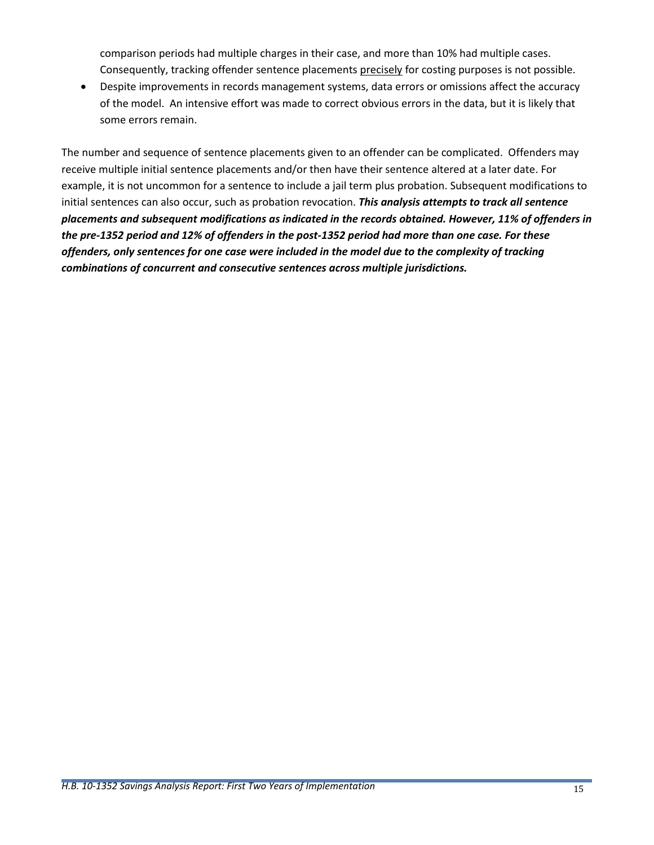comparison periods had multiple charges in their case, and more than 10% had multiple cases. Consequently, tracking offender sentence placements precisely for costing purposes is not possible.

 Despite improvements in records management systems, data errors or omissions affect the accuracy of the model. An intensive effort was made to correct obvious errors in the data, but it is likely that some errors remain.

The number and sequence of sentence placements given to an offender can be complicated. Offenders may receive multiple initial sentence placements and/or then have their sentence altered at a later date. For example, it is not uncommon for a sentence to include a jail term plus probation. Subsequent modifications to initial sentences can also occur, such as probation revocation. *This analysis attempts to track all sentence placements and subsequent modifications as indicated in the records obtained. However, 11% of offenders in the pre-1352 period and 12% of offenders in the post-1352 period had more than one case. For these offenders, only sentences for one case were included in the model due to the complexity of tracking combinations of concurrent and consecutive sentences across multiple jurisdictions.*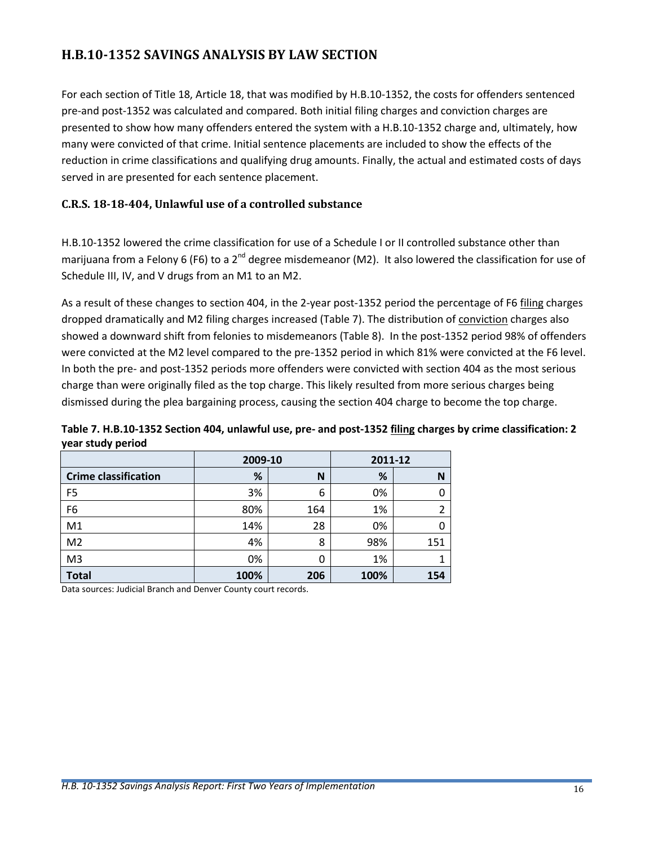## <span id="page-16-0"></span>**H.B.10-1352 SAVINGS ANALYSIS BY LAW SECTION**

For each section of Title 18, Article 18, that was modified by H.B.10-1352, the costs for offenders sentenced pre-and post-1352 was calculated and compared. Both initial filing charges and conviction charges are presented to show how many offenders entered the system with a H.B.10-1352 charge and, ultimately, how many were convicted of that crime. Initial sentence placements are included to show the effects of the reduction in crime classifications and qualifying drug amounts. Finally, the actual and estimated costs of days served in are presented for each sentence placement.

#### <span id="page-16-1"></span>**C.R.S. 18-18-404, Unlawful use of a controlled substance**

H.B.10-1352 lowered the crime classification for use of a Schedule I or II controlled substance other than marijuana from a Felony 6 (F6) to a 2<sup>nd</sup> degree misdemeanor (M2). It also lowered the classification for use of Schedule III, IV, and V drugs from an M1 to an M2.

As a result of these changes to section 404, in the 2-year post-1352 period the percentage of F6 filing charges dropped dramatically and M2 filing charges increased [\(Table 7\)](#page-16-2). The distribution of conviction charges also showed a downward shift from felonies to misdemeanors (Table 8). In the post-1352 period 98% of offenders were convicted at the M2 level compared to the pre-1352 period in which 81% were convicted at the F6 level. In both the pre- and post-1352 periods more offenders were convicted with section 404 as the most serious charge than were originally filed as the top charge. This likely resulted from more serious charges being dismissed during the plea bargaining process, causing the section 404 charge to become the top charge.

<span id="page-16-2"></span>**Table 7. H.B.10-1352 Section 404, unlawful use, pre- and post-1352 filing charges by crime classification: 2 year study period**

|                             | 2009-10 |     | 2011-12 |     |
|-----------------------------|---------|-----|---------|-----|
| <b>Crime classification</b> | %       | N   | %       | N   |
| F5                          | 3%      | 6   | 0%      | 0   |
| F <sub>6</sub>              | 80%     | 164 | 1%      | 2   |
| M1                          | 14%     | 28  | 0%      | 0   |
| M <sub>2</sub>              | 4%      | 8   | 98%     | 151 |
| M <sub>3</sub>              | 0%      | 0   | 1%      |     |
| <b>Total</b>                | 100%    | 206 | 100%    | 154 |

Data sources: Judicial Branch and Denver County court records.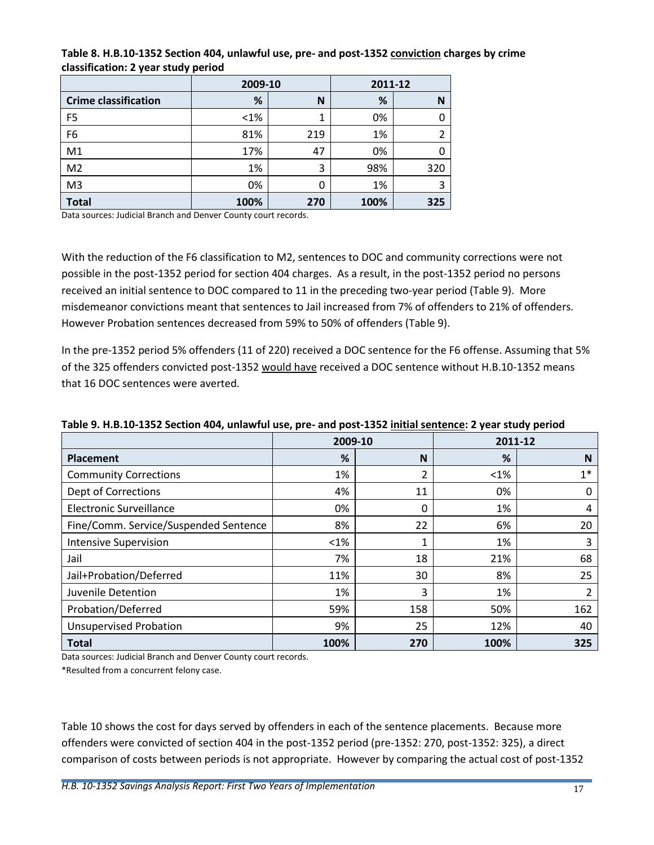|                             | 2009-10 |     | 2011-12 |     |
|-----------------------------|---------|-----|---------|-----|
| <b>Crime classification</b> | %       | N   | %       | N   |
| F <sub>5</sub>              | $< 1\%$ | 1   | 0%      | 0   |
| F <sub>6</sub>              | 81%     | 219 | 1%      | 2   |
| M1                          | 17%     | 47  | 0%      | 0   |
| M <sub>2</sub>              | 1%      | 3   | 98%     | 320 |
| M <sub>3</sub>              | 0%      | 0   | 1%      | 3   |
| <b>Total</b>                | 100%    | 270 | 100%    | 325 |

<span id="page-17-0"></span>**Table 8. H.B.10-1352 Section 404, unlawful use, pre- and post-1352 conviction charges by crime classification: 2 year study period**

Data sources: Judicial Branch and Denver County court records.

With the reduction of the F6 classification to M2, sentences to DOC and community corrections were not possible in the post-1352 period for section 404 charges. As a result, in the post-1352 period no persons received an initial sentence to DOC compared to 11 in the preceding two-year period [\(Table 9\)](#page-17-1). More misdemeanor convictions meant that sentences to Jail increased from 7% of offenders to 21% of offenders. However Probation sentences decreased from 59% to 50% of offenders [\(Table 9\)](#page-17-1).

In the pre-1352 period 5% offenders (11 of 220) received a DOC sentence for the F6 offense. Assuming that 5% of the 325 offenders convicted post-1352 would have received a DOC sentence without H.B.10-1352 means that 16 DOC sentences were averted.

|                                       | 2009-10 |     | 2011-12 |      |
|---------------------------------------|---------|-----|---------|------|
| Placement                             | %       | N   | %       | N    |
| <b>Community Corrections</b>          | 1%      | 2   | $<1\%$  | $1*$ |
| Dept of Corrections                   | 4%      | 11  | 0%      | 0    |
| <b>Electronic Surveillance</b>        | 0%      | 0   | 1%      | 4    |
| Fine/Comm. Service/Suspended Sentence | 8%      | 22  | 6%      | 20   |
| <b>Intensive Supervision</b>          | $<$ 1%  | 1   | 1%      | 3    |
| Jail                                  | 7%      | 18  | 21%     | 68   |
| Jail+Probation/Deferred               | 11%     | 30  | 8%      | 25   |
| Juvenile Detention                    | 1%      | 3   | 1%      | 2    |
| Probation/Deferred                    | 59%     | 158 | 50%     | 162  |
| <b>Unsupervised Probation</b>         | 9%      | 25  | 12%     | 40   |
| <b>Total</b>                          | 100%    | 270 | 100%    | 325  |

#### <span id="page-17-1"></span>**Table 9. H.B.10-1352 Section 404, unlawful use, pre- and post-1352 initial sentence: 2 year study period**

Data sources: Judicial Branch and Denver County court records.

\*Resulted from a concurrent felony case.

[Table 10](#page-18-2) shows the cost for days served by offenders in each of the sentence placements. Because more offenders were convicted of section 404 in the post-1352 period (pre-1352: 270, post-1352: 325), a direct comparison of costs between periods is not appropriate. However by comparing the actual cost of post-1352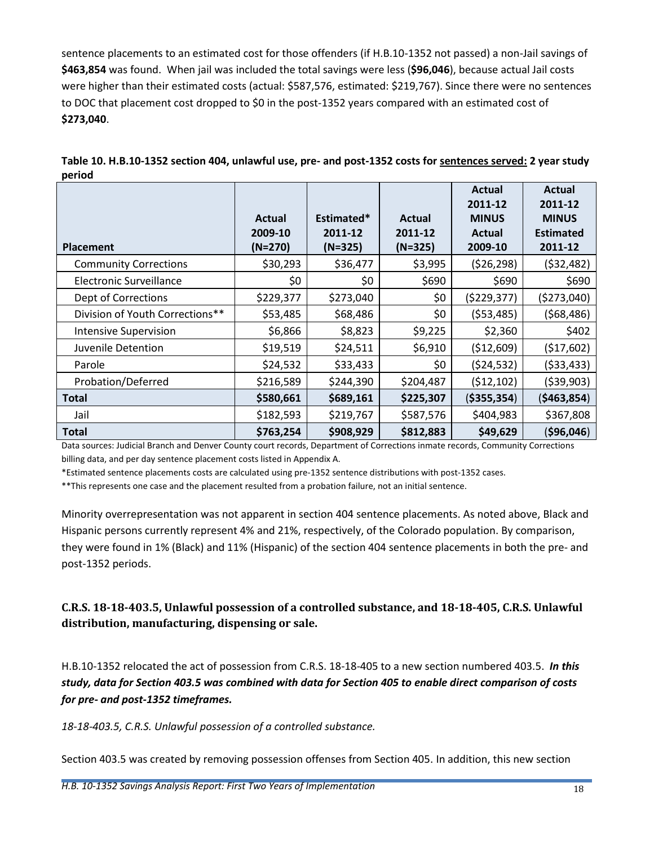sentence placements to an estimated cost for those offenders (if H.B.10-1352 not passed) a non-Jail savings of **\$463,854** was found. When jail was included the total savings were less (**\$96,046**), because actual Jail costs were higher than their estimated costs (actual: \$587,576, estimated: \$219,767). Since there were no sentences to DOC that placement cost dropped to \$0 in the post-1352 years compared with an estimated cost of **\$273,040**.

<span id="page-18-2"></span><span id="page-18-1"></span>

| Table 10. H.B.10-1352 section 404, unlawful use, pre- and post-1352 costs for sentences served: 2 year study |  |  |  |         |         |  |
|--------------------------------------------------------------------------------------------------------------|--|--|--|---------|---------|--|
| period                                                                                                       |  |  |  |         |         |  |
|                                                                                                              |  |  |  | Actual  | Actual  |  |
|                                                                                                              |  |  |  | 2011-12 | 2011-12 |  |

| <b>Placement</b>                | Actual<br>2009-10<br>$(N=270)$ | Estimated*<br>2011-12<br>$(N=325)$ | Actual<br>2011-12<br>$(N=325)$ | 2011-12<br><b>MINUS</b><br>Actual<br>2009-10 | 2011-12<br><b>MINUS</b><br><b>Estimated</b><br>2011-12 |
|---------------------------------|--------------------------------|------------------------------------|--------------------------------|----------------------------------------------|--------------------------------------------------------|
| <b>Community Corrections</b>    | \$30,293                       | \$36,477                           | \$3,995                        | (526, 298)                                   | (532, 482)                                             |
| Electronic Surveillance         | \$0                            | \$0                                | \$690                          | \$690                                        | \$690                                                  |
| Dept of Corrections             | \$229,377                      | \$273,040                          | \$0                            | (5229, 377)                                  | (\$273,040)                                            |
| Division of Youth Corrections** | \$53,485                       | \$68,486                           | \$0                            | (553, 485)                                   | (568, 486)                                             |
| <b>Intensive Supervision</b>    | \$6,866                        | \$8,823                            | \$9,225                        | \$2,360                                      | \$402                                                  |
| Juvenile Detention              | \$19,519                       | \$24,511                           | \$6,910                        | (\$12,609)                                   | (517,602)                                              |
| Parole                          | \$24,532                       | \$33,433                           | \$0                            | (524, 532)                                   | (533, 433)                                             |
| Probation/Deferred              | \$216,589                      | \$244,390                          | \$204,487                      | (512, 102)                                   | (539,903)                                              |
| <b>Total</b>                    | \$580,661                      | \$689,161                          | \$225,307                      | ( \$355, 354)                                | ( \$463, 854)                                          |
| Jail                            | \$182,593                      | \$219,767                          | \$587,576                      | \$404,983                                    | \$367,808                                              |
| <b>Total</b>                    | \$763,254                      | \$908,929                          | \$812,883                      | \$49,629                                     | ( \$96,046)                                            |

Data sources: Judicial Branch and Denver County court records, Department of Corrections inmate records, Community Corrections billing data, and per day sentence placement costs listed in Appendix A.

\*Estimated sentence placements costs are calculated using pre-1352 sentence distributions with post-1352 cases.

\*\*This represents one case and the placement resulted from a probation failure, not an initial sentence.

Г

Minority overrepresentation was not apparent in section 404 sentence placements. As noted above, Black and Hispanic persons currently represent 4% and 21%, respectively, of the Colorado population. By comparison, they were found in 1% (Black) and 11% (Hispanic) of the section 404 sentence placements in both the pre- and post-1352 periods.

<span id="page-18-0"></span>**C.R.S. 18-18-403.5, Unlawful possession of a controlled substance, and 18-18-405, C.R.S. Unlawful distribution, manufacturing, dispensing or sale.**

H.B.10-1352 relocated the act of possession from C.R.S. 18-18-405 to a new section numbered 403.5. *In this study, data for Section 403.5 was combined with data for Section 405 to enable direct comparison of costs for pre- and post-1352 timeframes.*

*18-18-403.5, C.R.S. Unlawful possession of a controlled substance.*

Section 403.5 was created by removing possession offenses from Section 405. In addition, this new section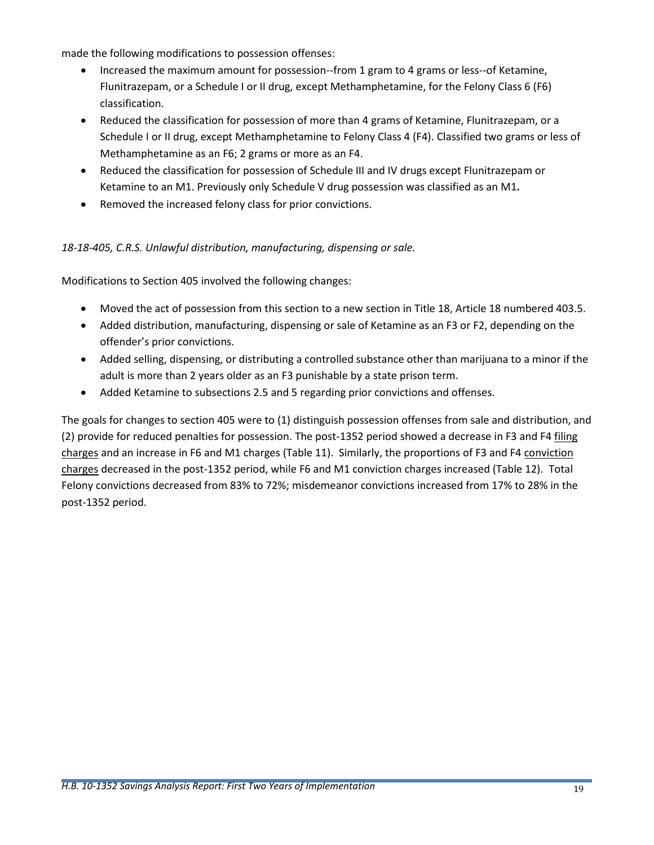made the following modifications to possession offenses:

- Increased the maximum amount for possession--from 1 gram to 4 grams or less--of Ketamine, Flunitrazepam, or a Schedule I or II drug, except Methamphetamine, for the Felony Class 6 (F6) classification.
- Reduced the classification for possession of more than 4 grams of Ketamine, Flunitrazepam, or a Schedule I or II drug, except Methamphetamine to Felony Class 4 (F4). Classified two grams or less of Methamphetamine as an F6; 2 grams or more as an F4.
- Reduced the classification for possession of Schedule III and IV drugs except Flunitrazepam or Ketamine to an M1. Previously only Schedule V drug possession was classified as an M1**.**
- Removed the increased felony class for prior convictions.

#### *18-18-405, C.R.S. Unlawful distribution, manufacturing, dispensing or sale.*

Modifications to Section 405 involved the following changes:

- Moved the act of possession from this section to a new section in Title 18, Article 18 numbered 403.5.
- Added distribution, manufacturing, dispensing or sale of Ketamine as an F3 or F2, depending on the offender's prior convictions.
- Added selling, dispensing, or distributing a controlled substance other than marijuana to a minor if the adult is more than 2 years older as an F3 punishable by a state prison term.
- Added Ketamine to subsections 2.5 and 5 regarding prior convictions and offenses.

The goals for changes to section 405 were to (1) distinguish possession offenses from sale and distribution, and (2) provide for reduced penalties for possession. The post-1352 period showed a decrease in F3 and F4 filing charges and an increase in F6 and M1 charges (Table 11). Similarly, the proportions of F3 and F4 conviction charges decreased in the post-1352 period, while F6 and M1 conviction charges increased [\(Table 12\)](#page-20-1). Total Felony convictions decreased from 83% to 72%; misdemeanor convictions increased from 17% to 28% in the post-1352 period.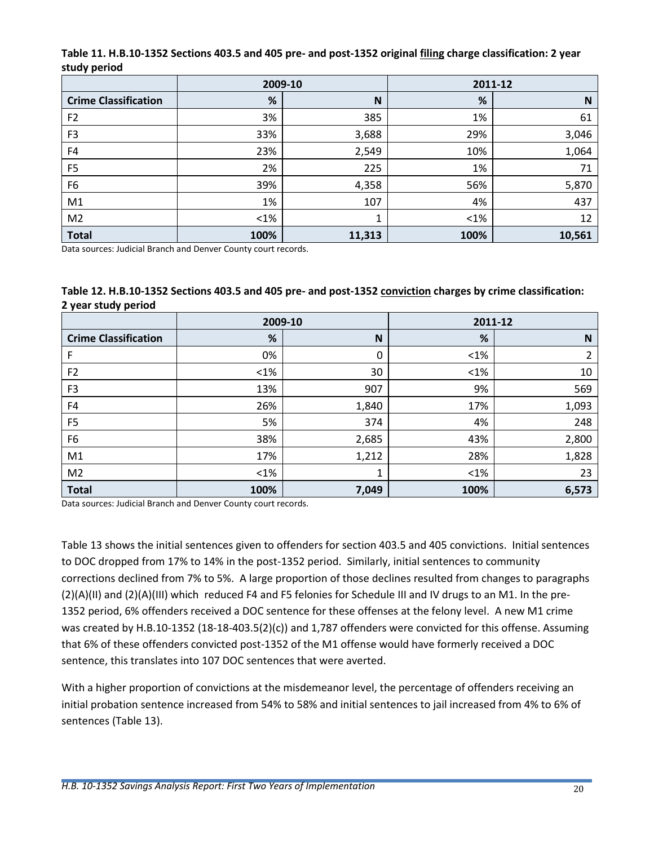<span id="page-20-0"></span>

| Table 11. H.B.10-1352 Sections 403.5 and 405 pre- and post-1352 original filing charge classification: 2 year |  |
|---------------------------------------------------------------------------------------------------------------|--|
| study period                                                                                                  |  |

|                             | 2009-10 |        |         | 2011-12 |
|-----------------------------|---------|--------|---------|---------|
| <b>Crime Classification</b> | %       | N      | %       | N       |
| F <sub>2</sub>              | 3%      | 385    | 1%      | 61      |
| F <sub>3</sub>              | 33%     | 3,688  | 29%     | 3,046   |
| F4                          | 23%     | 2,549  | 10%     | 1,064   |
| F <sub>5</sub>              | 2%      | 225    | 1%      | 71      |
| F <sub>6</sub>              | 39%     | 4,358  | 56%     | 5,870   |
| M1                          | 1%      | 107    | 4%      | 437     |
| M <sub>2</sub>              | $<$ 1%  | 1      | $< 1\%$ | 12      |
| <b>Total</b>                | 100%    | 11,313 | 100%    | 10,561  |

Data sources: Judicial Branch and Denver County court records.

<span id="page-20-1"></span>

| Table 12. H.B.10-1352 Sections 403.5 and 405 pre- and post-1352 conviction charges by crime classification: |  |
|-------------------------------------------------------------------------------------------------------------|--|
| 2 year study period                                                                                         |  |

|                             | 2009-10 |       | 2011-12 |       |
|-----------------------------|---------|-------|---------|-------|
| <b>Crime Classification</b> | %       | N     | %       | N     |
| F                           | 0%      | 0     | $<$ 1%  | 2     |
| F <sub>2</sub>              | $<$ 1%  | 30    | $<$ 1%  | 10    |
| F <sub>3</sub>              | 13%     | 907   | 9%      | 569   |
| F4                          | 26%     | 1,840 | 17%     | 1,093 |
| F <sub>5</sub>              | 5%      | 374   | 4%      | 248   |
| F <sub>6</sub>              | 38%     | 2,685 | 43%     | 2,800 |
| M1                          | 17%     | 1,212 | 28%     | 1,828 |
| M <sub>2</sub>              | $<$ 1%  | 1     | $<$ 1%  | 23    |
| <b>Total</b>                | 100%    | 7,049 | 100%    | 6,573 |

Data sources: Judicial Branch and Denver County court records.

[Table 13](#page-21-0) shows the initial sentences given to offenders for section 403.5 and 405 convictions. Initial sentences to DOC dropped from 17% to 14% in the post-1352 period. Similarly, initial sentences to community corrections declined from 7% to 5%. A large proportion of those declines resulted from changes to paragraphs (2)(A)(II) and (2)(A)(III) which reduced F4 and F5 felonies for Schedule III and IV drugs to an M1. In the pre-1352 period, 6% offenders received a DOC sentence for these offenses at the felony level. A new M1 crime was created by H.B.10-1352 (18-18-403.5(2)(c)) and 1,787 offenders were convicted for this offense. Assuming that 6% of these offenders convicted post-1352 of the M1 offense would have formerly received a DOC sentence, this translates into 107 DOC sentences that were averted.

With a higher proportion of convictions at the misdemeanor level, the percentage of offenders receiving an initial probation sentence increased from 54% to 58% and initial sentences to jail increased from 4% to 6% of sentences [\(Table 13\)](#page-21-0).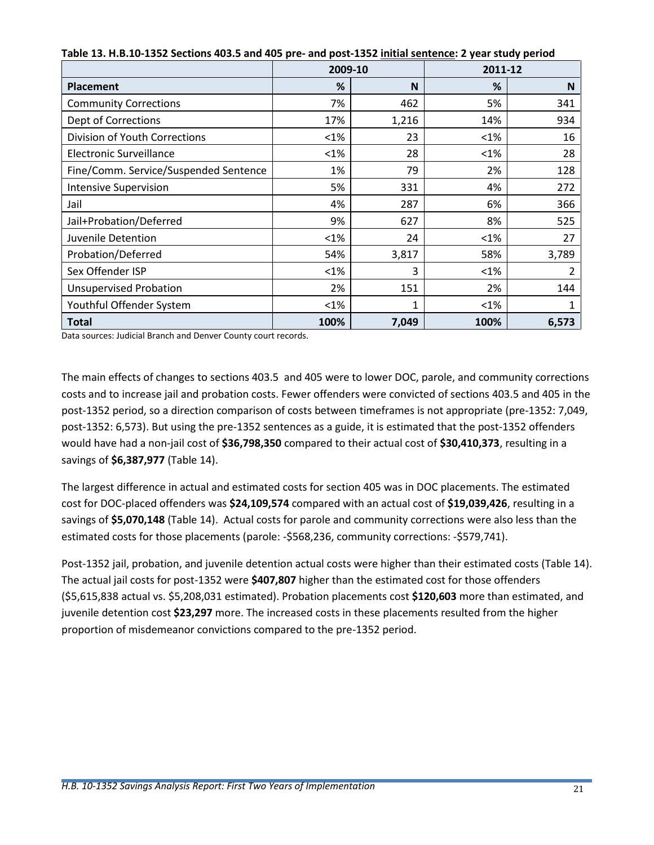|                                       |         | 2009-10 |         | 2011-12 |
|---------------------------------------|---------|---------|---------|---------|
| <b>Placement</b>                      | %       | N       | %       | N       |
| <b>Community Corrections</b>          | 7%      | 462     | 5%      | 341     |
| <b>Dept of Corrections</b>            | 17%     | 1,216   | 14%     | 934     |
| Division of Youth Corrections         | $< 1\%$ | 23      | $< 1\%$ | 16      |
| Electronic Surveillance               | $< 1\%$ | 28      | $< 1\%$ | 28      |
| Fine/Comm. Service/Suspended Sentence | 1%      | 79      | 2%      | 128     |
| <b>Intensive Supervision</b>          | 5%      | 331     | 4%      | 272     |
| Jail                                  | 4%      | 287     | 6%      | 366     |
| Jail+Probation/Deferred               | 9%      | 627     | 8%      | 525     |
| Juvenile Detention                    | $< 1\%$ | 24      | $< 1\%$ | 27      |
| Probation/Deferred                    | 54%     | 3,817   | 58%     | 3,789   |
| Sex Offender ISP                      | $< 1\%$ | 3       | $< 1\%$ | 2       |
| <b>Unsupervised Probation</b>         | 2%      | 151     | 2%      | 144     |
| Youthful Offender System              | $< 1\%$ | 1       | $< 1\%$ |         |
| <b>Total</b>                          | 100%    | 7,049   | 100%    | 6,573   |

<span id="page-21-0"></span>**Table 13. H.B.10-1352 Sections 403.5 and 405 pre- and post-1352 initial sentence: 2 year study period**

Data sources: Judicial Branch and Denver County court records.

The main effects of changes to sections 403.5 and 405 were to lower DOC, parole, and community corrections costs and to increase jail and probation costs. Fewer offenders were convicted of sections 403.5 and 405 in the post-1352 period, so a direction comparison of costs between timeframes is not appropriate (pre-1352: 7,049, post-1352: 6,573). But using the pre-1352 sentences as a guide, it is estimated that the post-1352 offenders would have had a non-jail cost of **\$36,798,350** compared to their actual cost of **\$30,410,373**, resulting in a savings of **\$6,387,977** (Table 14).

The largest difference in actual and estimated costs for section 405 was in DOC placements. The estimated cost for DOC-placed offenders was **\$24,109,574** compared with an actual cost of **\$19,039,426**, resulting in a savings of **\$5,070,148** (Table 14). Actual costs for parole and community corrections were also less than the estimated costs for those placements (parole: -\$568,236, community corrections: -\$579,741).

Post-1352 jail, probation, and juvenile detention actual costs were higher than their estimated costs (Table 14). The actual jail costs for post-1352 were **\$407,807** higher than the estimated cost for those offenders (\$5,615,838 actual vs. \$5,208,031 estimated). Probation placements cost **\$120,603** more than estimated, and juvenile detention cost **\$23,297** more. The increased costs in these placements resulted from the higher proportion of misdemeanor convictions compared to the pre-1352 period.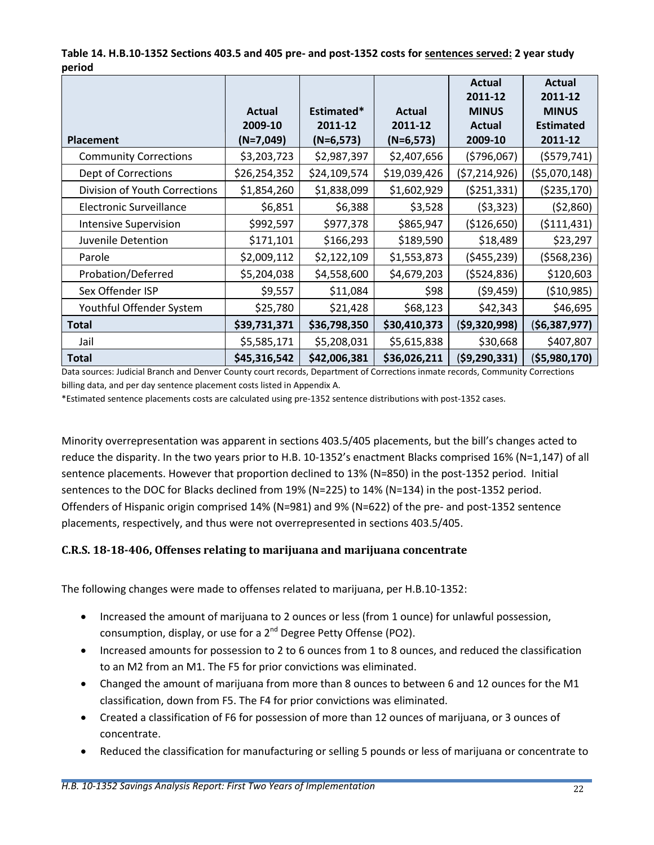<span id="page-22-1"></span>

| Table 14. H.B.10-1352 Sections 403.5 and 405 pre- and post-1352 costs for sentences served: 2 year study |  |
|----------------------------------------------------------------------------------------------------------|--|
| period                                                                                                   |  |

|                                |               |              |               | Actual                  | <b>Actual</b>           |
|--------------------------------|---------------|--------------|---------------|-------------------------|-------------------------|
|                                | <b>Actual</b> | Estimated*   | <b>Actual</b> | 2011-12<br><b>MINUS</b> | 2011-12<br><b>MINUS</b> |
|                                | 2009-10       | 2011-12      | 2011-12       | Actual                  | <b>Estimated</b>        |
| <b>Placement</b>               | $(N=7,049)$   | $(N=6,573)$  | $(N=6,573)$   | 2009-10                 | 2011-12                 |
| <b>Community Corrections</b>   | \$3,203,723   | \$2,987,397  | \$2,407,656   | (5796,067)              | (5579, 741)             |
| Dept of Corrections            | \$26,254,352  | \$24,109,574 | \$19,039,426  | (57, 214, 926)          | (55,070,148)            |
| Division of Youth Corrections  | \$1,854,260   | \$1,838,099  | \$1,602,929   | (5251, 331)             | ( \$235,170)            |
| <b>Electronic Surveillance</b> | \$6,851       | \$6,388      | \$3,528       | (53, 323)               | (52,860)                |
| <b>Intensive Supervision</b>   | \$992,597     | \$977,378    | \$865,947     | (\$126,650)             | (5111, 431)             |
| Juvenile Detention             | \$171,101     | \$166,293    | \$189,590     | \$18,489                | \$23,297                |
| Parole                         | \$2,009,112   | \$2,122,109  | \$1,553,873   | (5455, 239)             | (5568, 236)             |
| Probation/Deferred             | \$5,204,038   | \$4,558,600  | \$4,679,203   | (5524, 836)             | \$120,603               |
| Sex Offender ISP               | \$9,557       | \$11,084     | \$98          | (59, 459)               | (510,985)               |
| Youthful Offender System       | \$25,780      | \$21,428     | \$68,123      | \$42,343                | \$46,695                |
| <b>Total</b>                   | \$39,731,371  | \$36,798,350 | \$30,410,373  | ( \$9,320,998)          | (56, 387, 977)          |
| Jail                           | \$5,585,171   | \$5,208,031  | \$5,615,838   | \$30,668                | \$407,807               |
| <b>Total</b>                   | \$45,316,542  | \$42,006,381 | \$36,026,211  | ( \$9, 290, 331)        | ( \$5,980,170]          |

Data sources: Judicial Branch and Denver County court records, Department of Corrections inmate records, Community Corrections billing data, and per day sentence placement costs listed in Appendix A.

\*Estimated sentence placements costs are calculated using pre-1352 sentence distributions with post-1352 cases.

Minority overrepresentation was apparent in sections 403.5/405 placements, but the bill's changes acted to reduce the disparity. In the two years prior to H.B. 10-1352's enactment Blacks comprised 16% (N=1,147) of all sentence placements. However that proportion declined to 13% (N=850) in the post-1352 period. Initial sentences to the DOC for Blacks declined from 19% (N=225) to 14% (N=134) in the post-1352 period. Offenders of Hispanic origin comprised 14% (N=981) and 9% (N=622) of the pre- and post-1352 sentence placements, respectively, and thus were not overrepresented in sections 403.5/405.

#### <span id="page-22-0"></span>**C.R.S. 18-18-406, Offenses relating to marijuana and marijuana concentrate**

The following changes were made to offenses related to marijuana, per H.B.10-1352:

- Increased the amount of marijuana to 2 ounces or less (from 1 ounce) for unlawful possession, consumption, display, or use for a 2<sup>nd</sup> Degree Petty Offense (PO2).
- Increased amounts for possession to 2 to 6 ounces from 1 to 8 ounces, and reduced the classification to an M2 from an M1. The F5 for prior convictions was eliminated.
- Changed the amount of marijuana from more than 8 ounces to between 6 and 12 ounces for the M1 classification, down from F5. The F4 for prior convictions was eliminated.
- Created a classification of F6 for possession of more than 12 ounces of marijuana, or 3 ounces of concentrate.
- Reduced the classification for manufacturing or selling 5 pounds or less of marijuana or concentrate to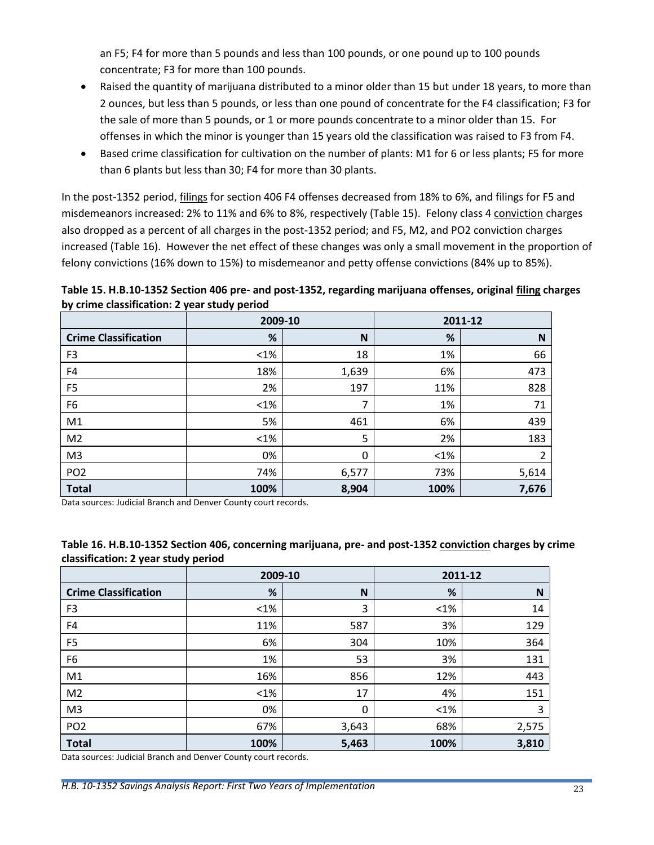an F5; F4 for more than 5 pounds and less than 100 pounds, or one pound up to 100 pounds concentrate; F3 for more than 100 pounds.

- Raised the quantity of marijuana distributed to a minor older than 15 but under 18 years, to more than 2 ounces, but less than 5 pounds, or less than one pound of concentrate for the F4 classification; F3 for the sale of more than 5 pounds, or 1 or more pounds concentrate to a minor older than 15. For offenses in which the minor is younger than 15 years old the classification was raised to F3 from F4.
- Based crime classification for cultivation on the number of plants: M1 for 6 or less plants; F5 for more than 6 plants but less than 30; F4 for more than 30 plants.

In the post-1352 period, filings for section 406 F4 offenses decreased from 18% to 6%, and filings for F5 and misdemeanors increased: 2% to 11% and 6% to 8%, respectively [\(Table 15\)](#page-23-0). Felony class 4 conviction charges also dropped as a percent of all charges in the post-1352 period; and F5, M2, and PO2 conviction charges increased [\(Table 16\)](#page-23-1). However the net effect of these changes was only a small movement in the proportion of felony convictions (16% down to 15%) to misdemeanor and petty offense convictions (84% up to 85%).

<span id="page-23-0"></span>**Table 15. H.B.10-1352 Section 406 pre- and post-1352, regarding marijuana offenses, original filing charges by crime classification: 2 year study period**

|                             | 2009-10 |       |        | 2011-12 |
|-----------------------------|---------|-------|--------|---------|
| <b>Crime Classification</b> | %       | N     | %      | N       |
| F <sub>3</sub>              | $<$ 1%  | 18    | 1%     | 66      |
| F4                          | 18%     | 1,639 | 6%     | 473     |
| F <sub>5</sub>              | 2%      | 197   | 11%    | 828     |
| F <sub>6</sub>              | $<$ 1%  | 7     | 1%     | 71      |
| M1                          | 5%      | 461   | 6%     | 439     |
| M <sub>2</sub>              | $<$ 1%  | 5     | 2%     | 183     |
| M <sub>3</sub>              | 0%      | 0     | $<1\%$ | 2       |
| PO <sub>2</sub>             | 74%     | 6,577 | 73%    | 5,614   |
| <b>Total</b>                | 100%    | 8,904 | 100%   | 7,676   |

Data sources: Judicial Branch and Denver County court records.

|                             | . .<br>2009-10<br>2011-12 |       |        |       |
|-----------------------------|---------------------------|-------|--------|-------|
| <b>Crime Classification</b> | %                         | N     | %      | N     |
| F <sub>3</sub>              | $<1\%$                    | 3     | $<1\%$ | 14    |
| F4                          | 11%                       | 587   | 3%     | 129   |
| F <sub>5</sub>              | 6%                        | 304   | 10%    | 364   |
| F <sub>6</sub>              | 1%                        | 53    | 3%     | 131   |
| M1                          | 16%                       | 856   | 12%    | 443   |
| M <sub>2</sub>              | $<1\%$                    | 17    | 4%     | 151   |
| M <sub>3</sub>              | 0%                        | 0     | $<1\%$ | 3     |
| PO <sub>2</sub>             | 67%                       | 3,643 | 68%    | 2,575 |
| <b>Total</b>                | 100%                      | 5,463 | 100%   | 3,810 |

#### <span id="page-23-1"></span>**Table 16. H.B.10-1352 Section 406, concerning marijuana, pre- and post-1352 conviction charges by crime classification: 2 year study period**

Data sources: Judicial Branch and Denver County court records.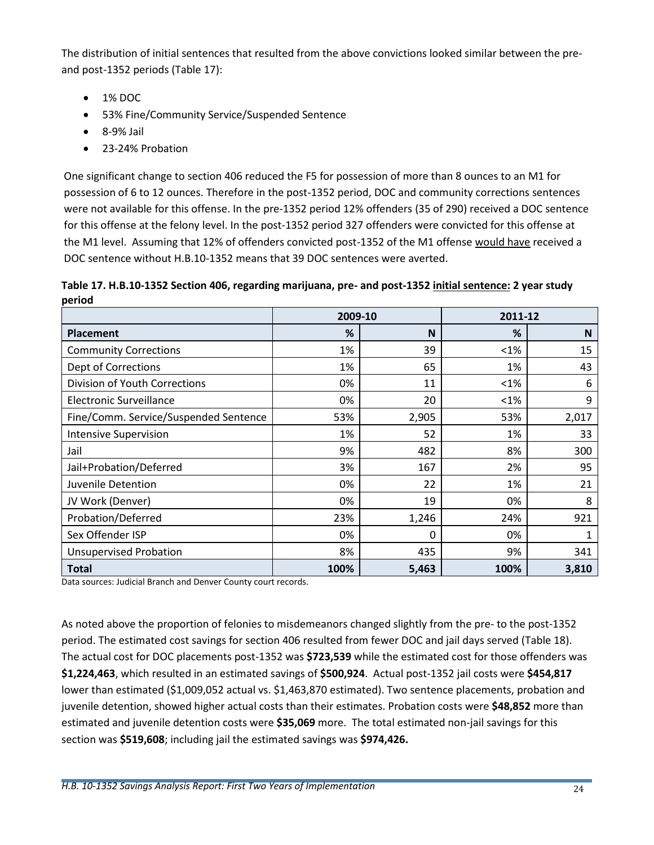The distribution of initial sentences that resulted from the above convictions looked similar between the preand post-1352 periods [\(Table 17\)](#page-24-0):

- 1% DOC
- 53% Fine/Community Service/Suspended Sentence
- 8-9% Jail
- 23-24% Probation

One significant change to section 406 reduced the F5 for possession of more than 8 ounces to an M1 for possession of 6 to 12 ounces. Therefore in the post-1352 period, DOC and community corrections sentences were not available for this offense. In the pre-1352 period 12% offenders (35 of 290) received a DOC sentence for this offense at the felony level. In the post-1352 period 327 offenders were convicted for this offense at the M1 level. Assuming that 12% of offenders convicted post-1352 of the M1 offense would have received a DOC sentence without H.B.10-1352 means that 39 DOC sentences were averted.

<span id="page-24-0"></span>**Table 17. H.B.10-1352 Section 406, regarding marijuana, pre- and post-1352 initial sentence: 2 year study period**

|                                       | 2009-10 |       | 2011-12 |       |
|---------------------------------------|---------|-------|---------|-------|
| <b>Placement</b>                      | %       | N     | %       | N     |
| <b>Community Corrections</b>          | 1%      | 39    | $< 1\%$ | 15    |
| Dept of Corrections                   | 1%      | 65    | 1%      | 43    |
| Division of Youth Corrections         | 0%      | 11    | $< 1\%$ | 6     |
| <b>Electronic Surveillance</b>        | 0%      | 20    | $< 1\%$ | 9     |
| Fine/Comm. Service/Suspended Sentence | 53%     | 2,905 | 53%     | 2,017 |
| <b>Intensive Supervision</b>          | 1%      | 52    | 1%      | 33    |
| Jail                                  | 9%      | 482   | 8%      | 300   |
| Jail+Probation/Deferred               | 3%      | 167   | 2%      | 95    |
| Juvenile Detention                    | 0%      | 22    | 1%      | 21    |
| JV Work (Denver)                      | 0%      | 19    | 0%      | 8     |
| Probation/Deferred                    | 23%     | 1,246 | 24%     | 921   |
| Sex Offender ISP                      | 0%      | 0     | 0%      | 1     |
| <b>Unsupervised Probation</b>         | 8%      | 435   | 9%      | 341   |
| <b>Total</b>                          | 100%    | 5,463 | 100%    | 3,810 |

Data sources: Judicial Branch and Denver County court records.

As noted above the proportion of felonies to misdemeanors changed slightly from the pre- to the post-1352 period. The estimated cost savings for section 406 resulted from fewer DOC and jail days served (Table 18). The actual cost for DOC placements post-1352 was **\$723,539** while the estimated cost for those offenders was **\$1,224,463**, which resulted in an estimated savings of **\$500,924**. Actual post-1352 jail costs were **\$454,817** lower than estimated (\$1,009,052 actual vs. \$1,463,870 estimated). Two sentence placements, probation and juvenile detention, showed higher actual costs than their estimates. Probation costs were **\$48,852** more than estimated and juvenile detention costs were **\$35,069** more. The total estimated non-jail savings for this section was **\$519,608**; including jail the estimated savings was **\$974,426.**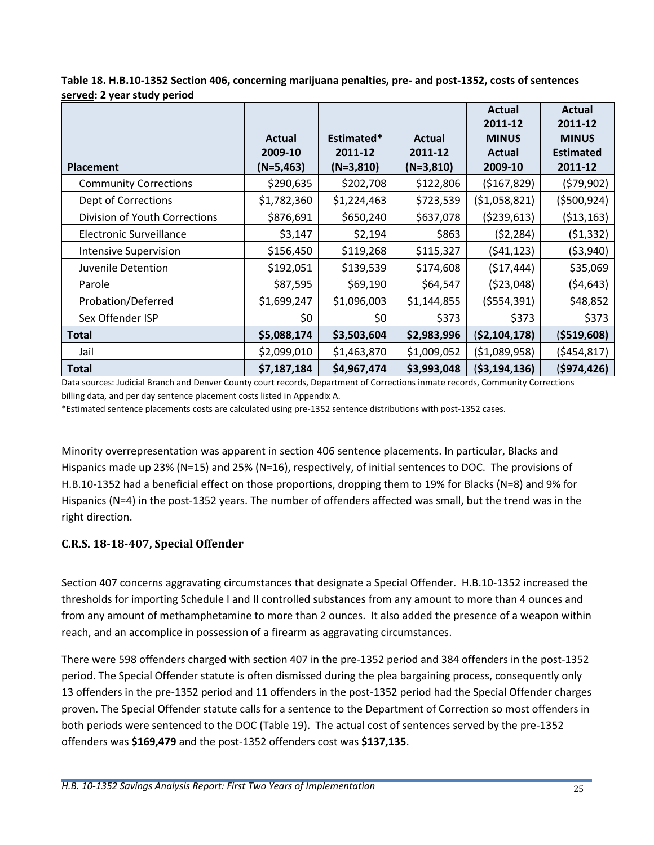<span id="page-25-1"></span>

| Table 18. H.B.10-1352 Section 406, concerning marijuana penalties, pre- and post-1352, costs of sentences |
|-----------------------------------------------------------------------------------------------------------|
| served: 2 year study period                                                                               |

|                                | Actual      | Estimated*  | <b>Actual</b> | <b>Actual</b><br>2011-12<br><b>MINUS</b> | <b>Actual</b><br>2011-12<br><b>MINUS</b> |
|--------------------------------|-------------|-------------|---------------|------------------------------------------|------------------------------------------|
|                                | 2009-10     | 2011-12     | 2011-12       | <b>Actual</b>                            | <b>Estimated</b>                         |
| <b>Placement</b>               | $(N=5,463)$ | $(N=3,810)$ | $(N=3,810)$   | 2009-10                                  | 2011-12                                  |
| <b>Community Corrections</b>   | \$290,635   | \$202,708   | \$122,806     | ( \$167, 829)                            | (579,902)                                |
| Dept of Corrections            | \$1,782,360 | \$1,224,463 | \$723,539     | (51,058,821)                             | ( \$500, 924)                            |
| Division of Youth Corrections  | \$876,691   | \$650,240   | \$637,078     | (5239, 613)                              | ( \$13,163)                              |
| <b>Electronic Surveillance</b> | \$3,147     | \$2,194     | \$863         | (52, 284)                                | (51, 332)                                |
| <b>Intensive Supervision</b>   | \$156,450   | \$119,268   | \$115,327     | (541, 123)                               | ( \$3,940)                               |
| Juvenile Detention             | \$192,051   | \$139,539   | \$174,608     | (517, 444)                               | \$35,069                                 |
| Parole                         | \$87,595    | \$69,190    | \$64,547      | (523,048)                                | (54, 643)                                |
| Probation/Deferred             | \$1,699,247 | \$1,096,003 | \$1,144,855   | (5554, 391)                              | \$48,852                                 |
| Sex Offender ISP               | \$0         | \$0         | \$373         | \$373                                    | \$373                                    |
| <b>Total</b>                   | \$5,088,174 | \$3,503,604 | \$2,983,996   | ( \$2,104,178)                           | ( \$519, 608)                            |
| Jail                           | \$2,099,010 | \$1,463,870 | \$1,009,052   | ( \$1,089,958)                           | (5454, 817)                              |
| <b>Total</b>                   | \$7,187,184 | \$4,967,474 | \$3,993,048   | ( \$3,194,136)                           | (5974, 426)                              |

Data sources: Judicial Branch and Denver County court records, Department of Corrections inmate records, Community Corrections billing data, and per day sentence placement costs listed in Appendix A.

\*Estimated sentence placements costs are calculated using pre-1352 sentence distributions with post-1352 cases.

Minority overrepresentation was apparent in section 406 sentence placements. In particular, Blacks and Hispanics made up 23% (N=15) and 25% (N=16), respectively, of initial sentences to DOC. The provisions of H.B.10-1352 had a beneficial effect on those proportions, dropping them to 19% for Blacks (N=8) and 9% for Hispanics (N=4) in the post-1352 years. The number of offenders affected was small, but the trend was in the right direction.

## <span id="page-25-0"></span>**C.R.S. 18-18-407, Special Offender**

Section 407 concerns aggravating circumstances that designate a Special Offender. H.B.10-1352 increased the thresholds for importing Schedule I and II controlled substances from any amount to more than 4 ounces and from any amount of methamphetamine to more than 2 ounces. It also added the presence of a weapon within reach, and an accomplice in possession of a firearm as aggravating circumstances.

There were 598 offenders charged with section 407 in the pre-1352 period and 384 offenders in the post-1352 period. The Special Offender statute is often dismissed during the plea bargaining process, consequently only 13 offenders in the pre-1352 period and 11 offenders in the post-1352 period had the Special Offender charges proven. The Special Offender statute calls for a sentence to the Department of Correction so most offenders in both periods were sentenced to the DOC [\(Table 19\)](#page-26-1). The actual cost of sentences served by the pre-1352 offenders was **\$169,479** and the post-1352 offenders cost was **\$137,135**.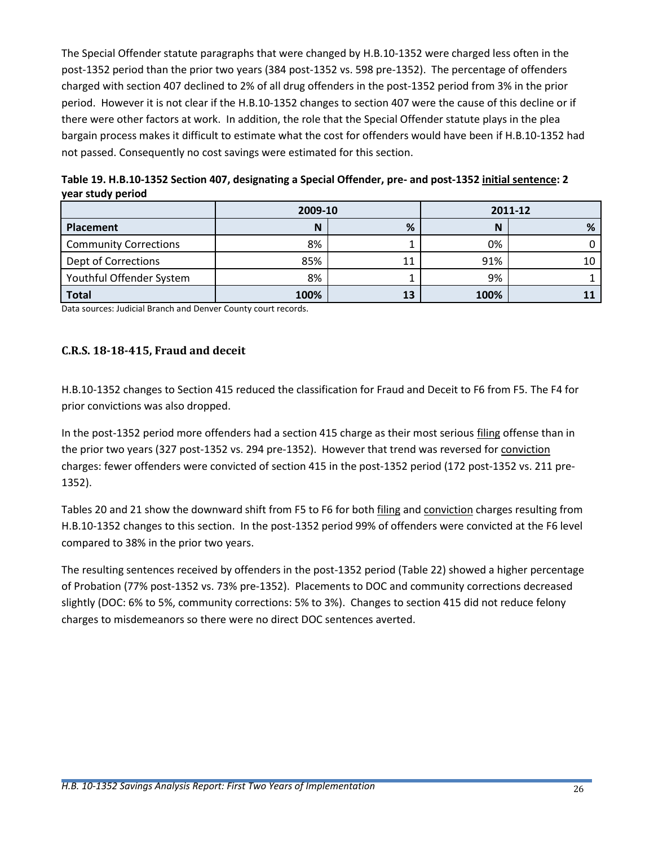The Special Offender statute paragraphs that were changed by H.B.10-1352 were charged less often in the post-1352 period than the prior two years (384 post-1352 vs. 598 pre-1352). The percentage of offenders charged with section 407 declined to 2% of all drug offenders in the post-1352 period from 3% in the prior period. However it is not clear if the H.B.10-1352 changes to section 407 were the cause of this decline or if there were other factors at work. In addition, the role that the Special Offender statute plays in the plea bargain process makes it difficult to estimate what the cost for offenders would have been if H.B.10-1352 had not passed. Consequently no cost savings were estimated for this section.

<span id="page-26-1"></span>

| Table 19. H.B.10-1352 Section 407, designating a Special Offender, pre- and post-1352 initial sentence: 2 |  |
|-----------------------------------------------------------------------------------------------------------|--|
| year study period                                                                                         |  |

|                              | 2009-10 |    |      | 2011-12 |
|------------------------------|---------|----|------|---------|
| <b>Placement</b>             | N       | %  | N    | %       |
| <b>Community Corrections</b> | 8%      |    | 0%   |         |
| Dept of Corrections          | 85%     | 11 | 91%  | 10      |
| Youthful Offender System     | 8%      |    | 9%   |         |
| <b>Total</b>                 | 100%    | 13 | 100% |         |

Data sources: Judicial Branch and Denver County court records.

#### <span id="page-26-0"></span>**C.R.S. 18-18-415, Fraud and deceit**

H.B.10-1352 changes to Section 415 reduced the classification for Fraud and Deceit to F6 from F5. The F4 for prior convictions was also dropped.

In the post-1352 period more offenders had a section 415 charge as their most serious filing offense than in the prior two years (327 post-1352 vs. 294 pre-1352). However that trend was reversed for conviction charges: fewer offenders were convicted of section 415 in the post-1352 period (172 post-1352 vs. 211 pre-1352).

Tables 20 and 21 show the downward shift from F5 to F6 for both filing and conviction charges resulting from H.B.10-1352 changes to this section. In the post-1352 period 99% of offenders were convicted at the F6 level compared to 38% in the prior two years.

<span id="page-26-2"></span>The resulting sentences received by offenders in the post-1352 period [\(Table 22\)](#page-27-1) showed a higher percentage of Probation (77% post-1352 vs. 73% pre-1352). Placements to DOC and community corrections decreased slightly (DOC: 6% to 5%, community corrections: 5% to 3%). Changes to section 415 did not reduce felony charges to misdemeanors so there were no direct DOC sentences averted.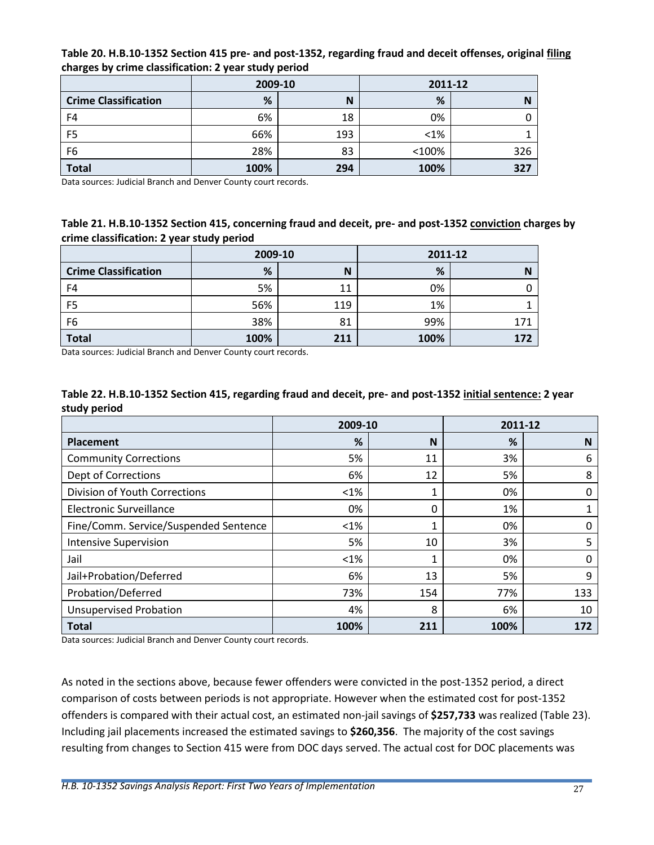| . .<br>. .                  |         |     |         |     |  |  |
|-----------------------------|---------|-----|---------|-----|--|--|
|                             | 2009-10 |     | 2011-12 |     |  |  |
| <b>Crime Classification</b> | %       | N   | %       | N   |  |  |
| F4                          | 6%      | 18  | 0%      |     |  |  |
| F <sub>5</sub>              | 66%     | 193 | $< 1\%$ |     |  |  |
| F <sub>6</sub>              | 28%     | 83  | <100%   | 326 |  |  |
| <b>Total</b>                | 100%    | 294 | 100%    | 327 |  |  |

**Table 20. H.B.10-1352 Section 415 pre- and post-1352, regarding fraud and deceit offenses, original filing charges by crime classification: 2 year study period**

Data sources: Judicial Branch and Denver County court records.

#### <span id="page-27-0"></span>**Table 21. H.B.10-1352 Section 415, concerning fraud and deceit, pre- and post-1352 conviction charges by crime classification: 2 year study period**

|                             | 2009-10 |     | 2011-12 |  |
|-----------------------------|---------|-----|---------|--|
| <b>Crime Classification</b> | %       | N   | %       |  |
| F <sub>4</sub>              | 5%      | 11  | 0%      |  |
| F <sub>5</sub>              | 56%     | 119 | 1%      |  |
| F6                          | 38%     | 81  | 99%     |  |
| <b>Total</b>                | 100%    | 211 | 100%    |  |

Data sources: Judicial Branch and Denver County court records.

#### <span id="page-27-1"></span>**Table 22. H.B.10-1352 Section 415, regarding fraud and deceit, pre- and post-1352 initial sentence: 2 year study period**

|                                       | 2009-10 |     | 2011-12 |     |
|---------------------------------------|---------|-----|---------|-----|
| Placement                             | %       | N   | %       | N   |
| <b>Community Corrections</b>          | 5%      | 11  | 3%      | 6   |
| <b>Dept of Corrections</b>            | 6%      | 12  | 5%      | 8   |
| Division of Youth Corrections         | <1%     | 1   | 0%      | 0   |
| <b>Electronic Surveillance</b>        | 0%      | 0   | 1%      | 1   |
| Fine/Comm. Service/Suspended Sentence | $<$ 1%  | 1   | 0%      | 0   |
| <b>Intensive Supervision</b>          | 5%      | 10  | 3%      | 5   |
| Jail                                  | $<$ 1%  | 1   | 0%      | 0   |
| Jail+Probation/Deferred               | 6%      | 13  | 5%      | 9   |
| Probation/Deferred                    | 73%     | 154 | 77%     | 133 |
| <b>Unsupervised Probation</b>         | 4%      | 8   | 6%      | 10  |
| <b>Total</b>                          | 100%    | 211 | 100%    | 172 |

Data sources: Judicial Branch and Denver County court records.

As noted in the sections above, because fewer offenders were convicted in the post-1352 period, a direct comparison of costs between periods is not appropriate. However when the estimated cost for post-1352 offenders is compared with their actual cost, an estimated non-jail savings of **\$257,733** was realized [\(Table 23\)](#page-28-1). Including jail placements increased the estimated savings to **\$260,356**. The majority of the cost savings resulting from changes to Section 415 were from DOC days served. The actual cost for DOC placements was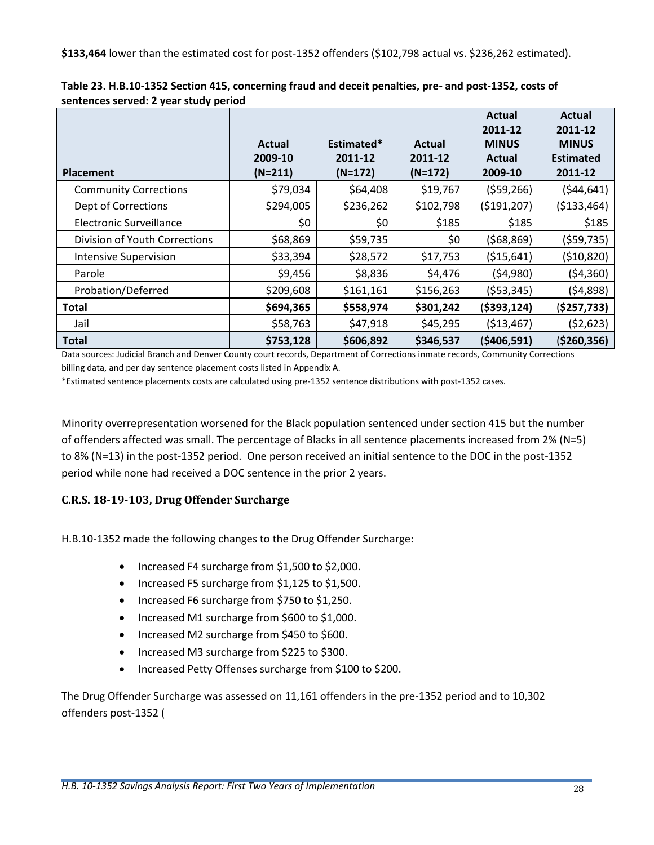**\$133,464** lower than the estimated cost for post-1352 offenders (\$102,798 actual vs. \$236,262 estimated).

|                               |                                |                                    |                                | Actual<br>2011-12                 | <b>Actual</b><br>2011-12                    |
|-------------------------------|--------------------------------|------------------------------------|--------------------------------|-----------------------------------|---------------------------------------------|
| <b>Placement</b>              | Actual<br>2009-10<br>$(N=211)$ | Estimated*<br>2011-12<br>$(N=172)$ | Actual<br>2011-12<br>$(N=172)$ | <b>MINUS</b><br>Actual<br>2009-10 | <b>MINUS</b><br><b>Estimated</b><br>2011-12 |
| <b>Community Corrections</b>  | \$79,034                       | \$64,408                           | \$19,767                       | (559, 266)                        | (544, 641)                                  |
| Dept of Corrections           | \$294,005                      | \$236,262                          | \$102,798                      | (5191, 207)                       | (\$133,464)                                 |
| Electronic Surveillance       | \$0                            | \$0                                | \$185                          | \$185                             | \$185                                       |
| Division of Youth Corrections | \$68,869                       | \$59,735                           | \$0                            | (568, 869)                        | (559, 735)                                  |
| <b>Intensive Supervision</b>  | \$33,394                       | \$28,572                           | \$17,753                       | ( \$15,641)                       | (\$10,820)                                  |
| Parole                        | \$9,456                        | \$8,836                            | \$4,476                        | (54,980)                          | (54, 360)                                   |
| Probation/Deferred            | \$209,608                      | \$161,161                          | \$156,263                      | (553, 345)                        | (54,898)                                    |
| <b>Total</b>                  | \$694,365                      | \$558,974                          | \$301,242                      | ( \$393, 124)                     | (\$257,733)                                 |
| Jail                          | \$58,763                       | \$47,918                           | \$45,295                       | ( \$13,467)                       | (52,623)                                    |
| <b>Total</b>                  | \$753,128                      | \$606,892                          | \$346,537                      | (\$406,591)                       | ( \$260, 356)                               |

<span id="page-28-1"></span>

| Table 23. H.B.10-1352 Section 415, concerning fraud and deceit penalties, pre- and post-1352, costs of |  |
|--------------------------------------------------------------------------------------------------------|--|
| sentences served: 2 year study period                                                                  |  |

Data sources: Judicial Branch and Denver County court records, Department of Corrections inmate records, Community Corrections billing data, and per day sentence placement costs listed in Appendix A.

\*Estimated sentence placements costs are calculated using pre-1352 sentence distributions with post-1352 cases.

Minority overrepresentation worsened for the Black population sentenced under section 415 but the number of offenders affected was small. The percentage of Blacks in all sentence placements increased from 2% (N=5) to 8% (N=13) in the post-1352 period. One person received an initial sentence to the DOC in the post-1352 period while none had received a DOC sentence in the prior 2 years.

## <span id="page-28-0"></span>**C.R.S. 18-19-103, Drug Offender Surcharge**

H.B.10-1352 made the following changes to the Drug Offender Surcharge:

- Increased F4 surcharge from \$1,500 to \$2,000.
- Increased F5 surcharge from \$1,125 to \$1,500.
- Increased F6 surcharge from \$750 to \$1,250.
- Increased M1 surcharge from \$600 to \$1,000.
- Increased M2 surcharge from \$450 to \$600.
- Increased M3 surcharge from \$225 to \$300.
- Increased Petty Offenses surcharge from \$100 to \$200.

The Drug Offender Surcharge was assessed on 11,161 offenders in the pre-1352 period and to 10,302 offenders post-1352 [\(](#page-29-1)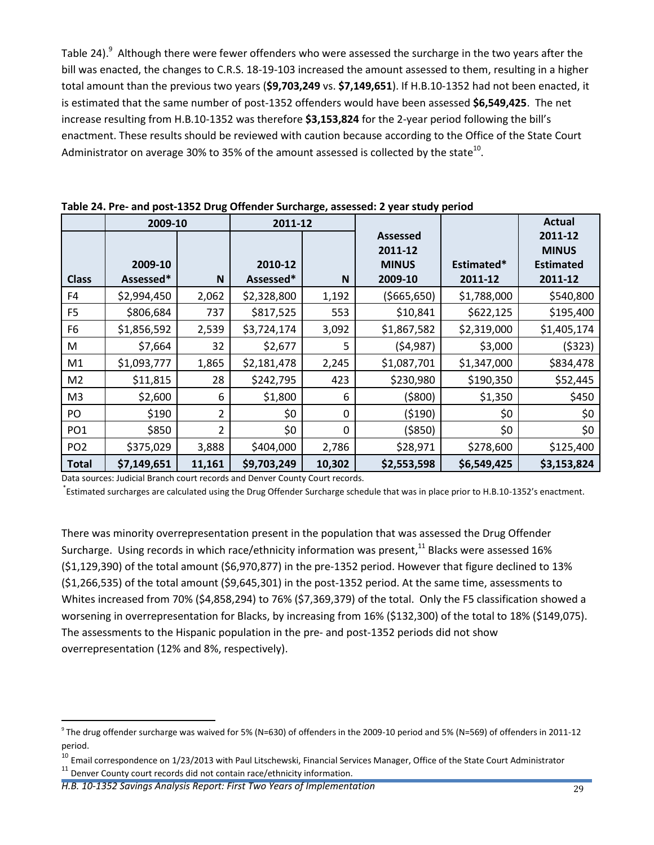[Table 24\)](#page-29-1).<sup>9</sup> Although there were fewer offenders who were assessed the surcharge in the two years after the bill was enacted, the changes to C.R.S. 18-19-103 increased the amount assessed to them, resulting in a higher total amount than the previous two years (**\$9,703,249** vs. **\$7,149,651**). If H.B.10-1352 had not been enacted, it is estimated that the same number of post-1352 offenders would have been assessed **\$6,549,425**. The net increase resulting from H.B.10-1352 was therefore **\$3,153,824** for the 2-year period following the bill's enactment. These results should be reviewed with caution because according to the Office of the State Court Administrator on average 30% to 35% of the amount assessed is collected by the state $^{10}$ .

|                 | 2009-10     |                | 2011-12     |          |                 |             | Actual           |
|-----------------|-------------|----------------|-------------|----------|-----------------|-------------|------------------|
|                 |             |                |             |          | <b>Assessed</b> |             | 2011-12          |
|                 |             |                |             |          | 2011-12         |             | <b>MINUS</b>     |
|                 | 2009-10     |                | 2010-12     |          | <b>MINUS</b>    | Estimated*  | <b>Estimated</b> |
| <b>Class</b>    | Assessed*   | N              | Assessed*   | N        | 2009-10         | 2011-12     | 2011-12          |
| F4              | \$2,994,450 | 2,062          | \$2,328,800 | 1,192    | ( \$665, 650)   | \$1,788,000 | \$540,800        |
| F <sub>5</sub>  | \$806,684   | 737            | \$817,525   | 553      | \$10,841        | \$622,125   | \$195,400        |
| F <sub>6</sub>  | \$1,856,592 | 2,539          | \$3,724,174 | 3,092    | \$1,867,582     | \$2,319,000 | \$1,405,174      |
| M               | \$7,664     | 32             | \$2,677     | 5        | (54, 987)       | \$3,000     | (5323)           |
| M1              | \$1,093,777 | 1,865          | \$2,181,478 | 2,245    | \$1,087,701     | \$1,347,000 | \$834,478        |
| M <sub>2</sub>  | \$11,815    | 28             | \$242,795   | 423      | \$230,980       | \$190,350   | \$52,445         |
| M <sub>3</sub>  | \$2,600     | 6              | \$1,800     | 6        | (5800)          | \$1,350     | \$450            |
| PO              | \$190       | 2              | \$0         | 0        | (5190)          | \$0         | \$0              |
| PO <sub>1</sub> | \$850       | $\overline{2}$ | \$0         | $\Omega$ | ( \$850)        | \$0         | \$0              |
| PO <sub>2</sub> | \$375,029   | 3,888          | \$404,000   | 2,786    | \$28,971        | \$278,600   | \$125,400        |
| <b>Total</b>    | \$7,149,651 | 11,161         | \$9,703,249 | 10,302   | \$2,553,598     | \$6,549,425 | \$3,153,824      |

<span id="page-29-1"></span>**Table 24. Pre- and post-1352 Drug Offender Surcharge, assessed: 2 year study period**

Data sources: Judicial Branch court records and Denver County Court records.

\* Estimated surcharges are calculated using the Drug Offender Surcharge schedule that was in place prior to H.B.10-1352's enactment.

There was minority overrepresentation present in the population that was assessed the Drug Offender Surcharge. Using records in which race/ethnicity information was present,<sup>11</sup> Blacks were assessed 16% (\$1,129,390) of the total amount (\$6,970,877) in the pre-1352 period. However that figure declined to 13% (\$1,266,535) of the total amount (\$9,645,301) in the post-1352 period. At the same time, assessments to Whites increased from 70% (\$4,858,294) to 76% (\$7,369,379) of the total. Only the F5 classification showed a worsening in overrepresentation for Blacks, by increasing from 16% (\$132,300) of the total to 18% (\$149,075). The assessments to the Hispanic population in the pre- and post-1352 periods did not show overrepresentation (12% and 8%, respectively).

<span id="page-29-0"></span> $\overline{a}$ 

 $^9$  The drug offender surcharge was waived for 5% (N=630) of offenders in the 2009-10 period and 5% (N=569) of offenders in 2011-12 period.

 $^{10}$  Email correspondence on 1/23/2013 with Paul Litschewski, Financial Services Manager, Office of the State Court Administrator  $11$  Denver County court records did not contain race/ethnicity information.

*H.B. 10-1352 Savings Analysis Report: First Two Years of Implementation* 29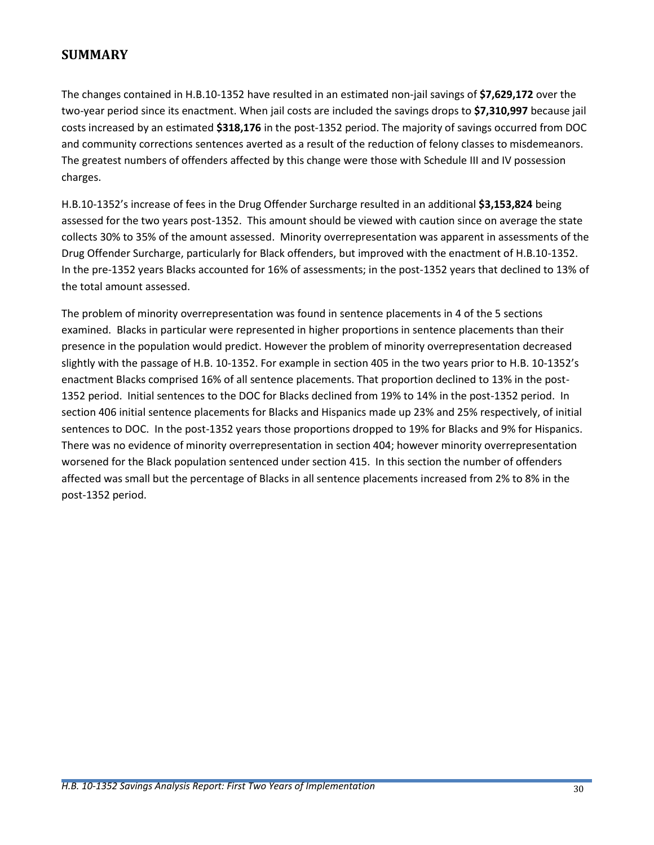## **SUMMARY**

The changes contained in H.B.10-1352 have resulted in an estimated non-jail savings of **\$7,629,172** over the two-year period since its enactment. When jail costs are included the savings drops to **\$7,310,997** because jail costs increased by an estimated **\$318,176** in the post-1352 period. The majority of savings occurred from DOC and community corrections sentences averted as a result of the reduction of felony classes to misdemeanors. The greatest numbers of offenders affected by this change were those with Schedule III and IV possession charges.

H.B.10-1352's increase of fees in the Drug Offender Surcharge resulted in an additional **\$3,153,824** being assessed for the two years post-1352. This amount should be viewed with caution since on average the state collects 30% to 35% of the amount assessed. Minority overrepresentation was apparent in assessments of the Drug Offender Surcharge, particularly for Black offenders, but improved with the enactment of H.B.10-1352. In the pre-1352 years Blacks accounted for 16% of assessments; in the post-1352 years that declined to 13% of the total amount assessed.

The problem of minority overrepresentation was found in sentence placements in 4 of the 5 sections examined. Blacks in particular were represented in higher proportions in sentence placements than their presence in the population would predict. However the problem of minority overrepresentation decreased slightly with the passage of H.B. 10-1352. For example in section 405 in the two years prior to H.B. 10-1352's enactment Blacks comprised 16% of all sentence placements. That proportion declined to 13% in the post-1352 period. Initial sentences to the DOC for Blacks declined from 19% to 14% in the post-1352 period. In section 406 initial sentence placements for Blacks and Hispanics made up 23% and 25% respectively, of initial sentences to DOC. In the post-1352 years those proportions dropped to 19% for Blacks and 9% for Hispanics. There was no evidence of minority overrepresentation in section 404; however minority overrepresentation worsened for the Black population sentenced under section 415. In this section the number of offenders affected was small but the percentage of Blacks in all sentence placements increased from 2% to 8% in the post-1352 period.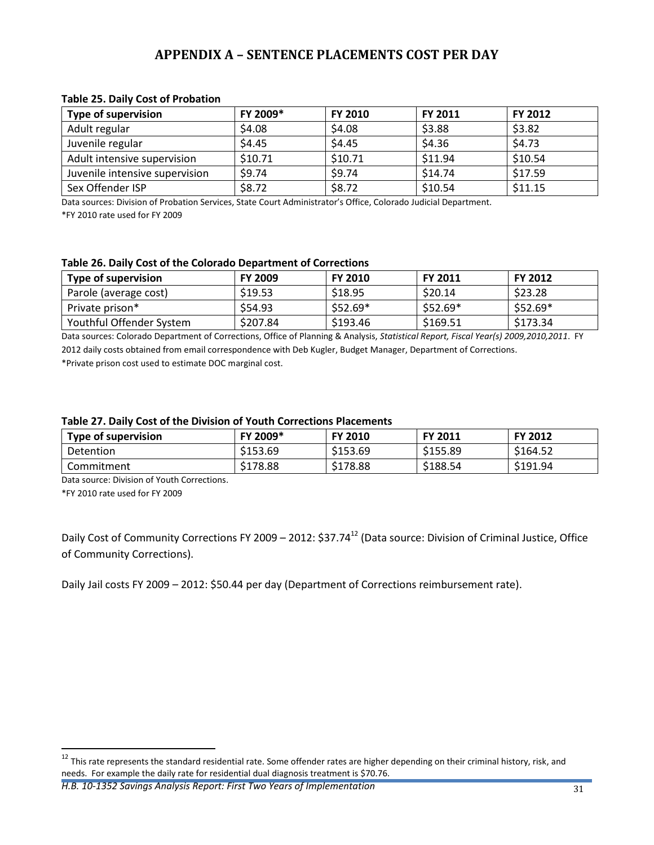## **APPENDIX A – SENTENCE PLACEMENTS COST PER DAY**

| <b>Type of supervision</b>     | FY 2009* | <b>FY 2010</b> | FY 2011 | <b>FY 2012</b> |
|--------------------------------|----------|----------------|---------|----------------|
| Adult regular                  | \$4.08   | \$4.08         | \$3.88  | \$3.82         |
| Juvenile regular               | \$4.45   | \$4.45         | \$4.36  | \$4.73         |
| Adult intensive supervision    | \$10.71  | \$10.71        | \$11.94 | \$10.54        |
| Juvenile intensive supervision | \$9.74   | \$9.74         | \$14.74 | \$17.59        |
| Sex Offender ISP               | \$8.72   | \$8.72         | \$10.54 | \$11.15        |

#### <span id="page-31-1"></span><span id="page-31-0"></span>**Table 25. Daily Cost of Probation**

Data sources: Division of Probation Services, State Court Administrator's Office, Colorado Judicial Department.

\*FY 2010 rate used for FY 2009

#### <span id="page-31-2"></span>**Table 26. Daily Cost of the Colorado Department of Corrections**

| Type of supervision      | <b>FY 2009</b> | <b>FY 2010</b>     | <b>FY 2011</b> | <b>FY 2012</b> |
|--------------------------|----------------|--------------------|----------------|----------------|
| Parole (average cost)    | \$19.53        | S <sub>18.95</sub> | \$20.14        | \$23.28        |
| Private prison*          | \$54.93        | $$52.69*$          | $$52.69*$      | $$52.69*$      |
| Youthful Offender System | \$207.84       | \$193.46           | \$169.51       | \$173.34       |

Data sources: Colorado Department of Corrections, Office of Planning & Analysis, *Statistical Report, Fiscal Year(s) 2009,2010,2011*. FY 2012 daily costs obtained from email correspondence with Deb Kugler, Budget Manager, Department of Corrections.

\*Private prison cost used to estimate DOC marginal cost.

#### <span id="page-31-3"></span>**Table 27. Daily Cost of the Division of Youth Corrections Placements**

| Type of supervision | FY 2009* | <b>FY 2010</b> | <b>FY 2011</b> | <b>FY 2012</b> |
|---------------------|----------|----------------|----------------|----------------|
| Detention           | \$153.69 | \$153.69       | \$155.89       | \$164.52       |
| Commitment          | \$178.88 | \$178.88       | \$188.54       | \$191.94       |

Data source: Division of Youth Corrections.

\*FY 2010 rate used for FY 2009

 $\ddot{\phantom{a}}$ 

Daily Cost of Community Corrections FY 2009 – 2012: \$37.74<sup>12</sup> (Data source: Division of Criminal Justice, Office of Community Corrections).

Daily Jail costs FY 2009 – 2012: \$50.44 per day (Department of Corrections reimbursement rate).

*H.B. 10-1352 Savings Analysis Report: First Two Years of Implementation* 31

 $^{12}$  This rate represents the standard residential rate. Some offender rates are higher depending on their criminal history, risk, and needs. For example the daily rate for residential dual diagnosis treatment is \$70.76.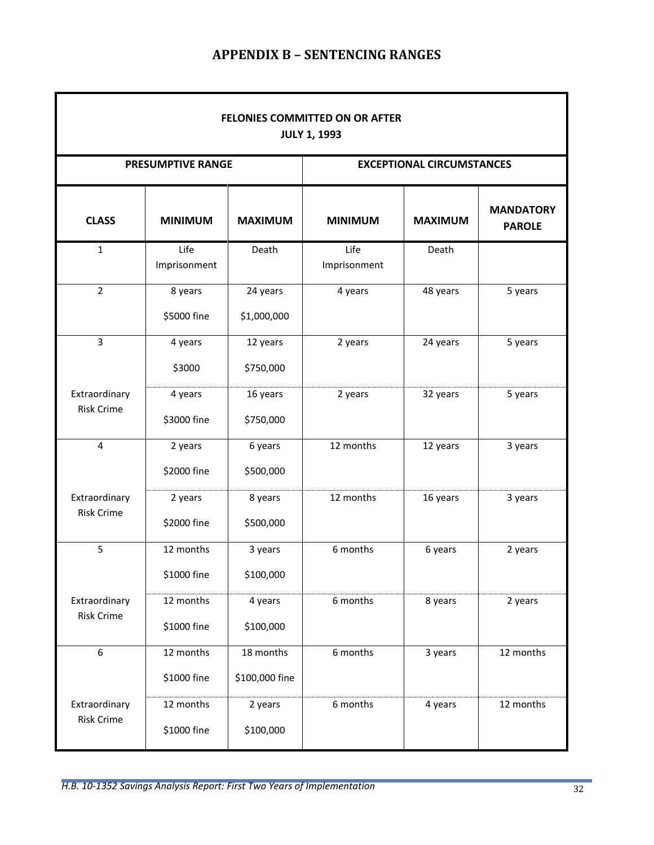# **APPENDIX B – SENTENCING RANGES**

<span id="page-32-0"></span>

| FELONIES COMMITTED ON OR AFTER<br><b>JULY 1, 1993</b> |                          |                                  |                      |                |                                   |  |
|-------------------------------------------------------|--------------------------|----------------------------------|----------------------|----------------|-----------------------------------|--|
| <b>PRESUMPTIVE RANGE</b>                              |                          | <b>EXCEPTIONAL CIRCUMSTANCES</b> |                      |                |                                   |  |
| <b>CLASS</b>                                          | <b>MINIMUM</b>           | <b>MAXIMUM</b>                   | <b>MINIMUM</b>       | <b>MAXIMUM</b> | <b>MANDATORY</b><br><b>PAROLE</b> |  |
| $\mathbf{1}$                                          | Life<br>Imprisonment     | Death                            | Life<br>Imprisonment | Death          |                                   |  |
| $\overline{2}$                                        | 8 years<br>\$5000 fine   | 24 years<br>\$1,000,000          | 4 years              | 48 years       | 5 years                           |  |
| $\overline{3}$                                        | 4 years<br>\$3000        | 12 years<br>\$750,000            | 2 years              | 24 years       | 5 years                           |  |
| Extraordinary<br><b>Risk Crime</b>                    | 4 years<br>\$3000 fine   | 16 years<br>\$750,000            | 2 years              | 32 years       | 5 years                           |  |
| $\overline{4}$                                        | 2 years<br>\$2000 fine   | 6 years<br>\$500,000             | 12 months            | 12 years       | 3 years                           |  |
| Extraordinary<br><b>Risk Crime</b>                    | 2 years<br>\$2000 fine   | 8 years<br>\$500,000             | 12 months            | 16 years       | 3 years                           |  |
| 5                                                     | 12 months<br>\$1000 fine | 3 years<br>\$100,000             | 6 months             | 6 years        | 2 years                           |  |
| Extraordinary<br><b>Risk Crime</b>                    | 12 months<br>\$1000 fine | 4 years<br>\$100,000             | 6 months             | 8 years        | 2 years                           |  |
| $\boldsymbol{6}$                                      | 12 months<br>\$1000 fine | 18 months<br>\$100,000 fine      | 6 months             | 3 years        | 12 months                         |  |
| Extraordinary<br><b>Risk Crime</b>                    | 12 months<br>\$1000 fine | 2 years<br>\$100,000             | 6 months             | 4 years        | 12 months                         |  |

ŕ